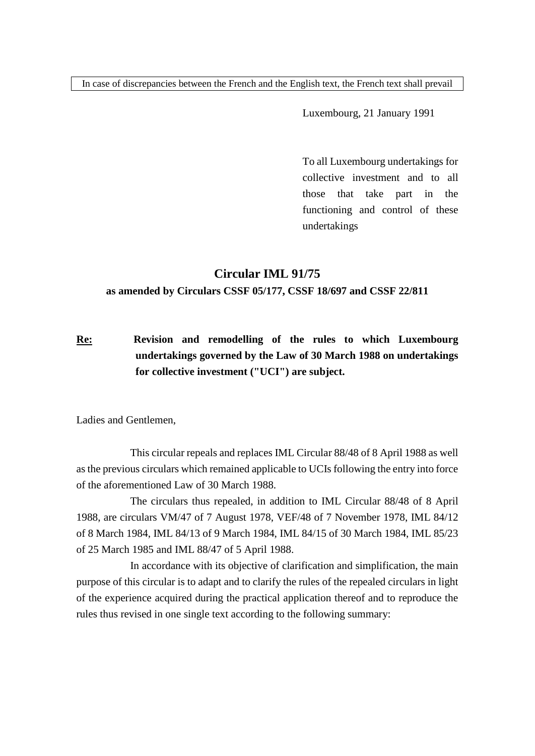In case of discrepancies between the French and the English text, the French text shall prevail

Luxembourg, 21 January 1991

To all Luxembourg undertakings for collective investment and to all those that take part in the functioning and control of these undertakings

# **Circular IML 91/75**

## **as amended by Circulars CSSF 05/177, CSSF 18/697 and CSSF 22/811**

**Re: Revision and remodelling of the rules to which Luxembourg undertakings governed by the Law of 30 March 1988 on undertakings for collective investment ("UCI") are subject.**

Ladies and Gentlemen,

This circular repeals and replaces IML Circular 88/48 of 8 April 1988 as well as the previous circulars which remained applicable to UCIs following the entry into force of the aforementioned Law of 30 March 1988.

The circulars thus repealed, in addition to IML Circular 88/48 of 8 April 1988, are circulars VM/47 of 7 August 1978, VEF/48 of 7 November 1978, IML 84/12 of 8 March 1984, IML 84/13 of 9 March 1984, IML 84/15 of 30 March 1984, IML 85/23 of 25 March 1985 and IML 88/47 of 5 April 1988.

In accordance with its objective of clarification and simplification, the main purpose of this circular is to adapt and to clarify the rules of the repealed circulars in light of the experience acquired during the practical application thereof and to reproduce the rules thus revised in one single text according to the following summary: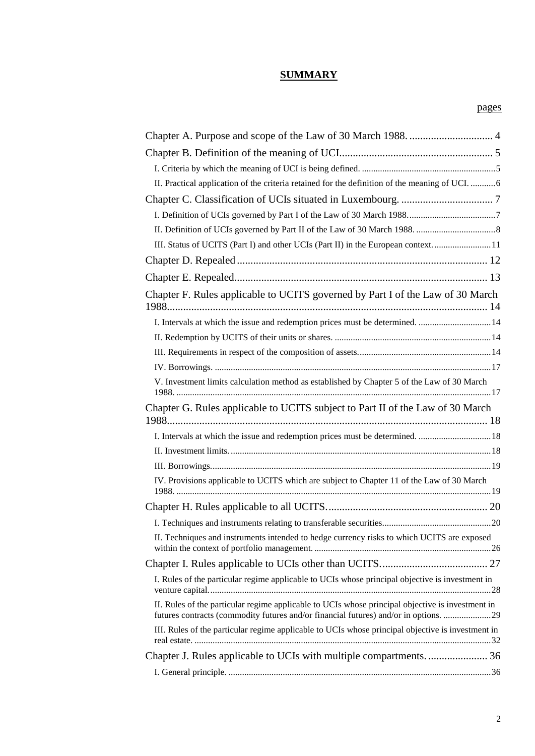# **SUMMARY**

| II. Practical application of the criteria retained for the definition of the meaning of UCI.  6                                                                                          |  |
|------------------------------------------------------------------------------------------------------------------------------------------------------------------------------------------|--|
|                                                                                                                                                                                          |  |
|                                                                                                                                                                                          |  |
|                                                                                                                                                                                          |  |
| III. Status of UCITS (Part I) and other UCIs (Part II) in the European context11                                                                                                         |  |
|                                                                                                                                                                                          |  |
|                                                                                                                                                                                          |  |
| Chapter F. Rules applicable to UCITS governed by Part I of the Law of 30 March                                                                                                           |  |
| I. Intervals at which the issue and redemption prices must be determined.  14                                                                                                            |  |
|                                                                                                                                                                                          |  |
|                                                                                                                                                                                          |  |
|                                                                                                                                                                                          |  |
| V. Investment limits calculation method as established by Chapter 5 of the Law of 30 March                                                                                               |  |
| Chapter G. Rules applicable to UCITS subject to Part II of the Law of 30 March                                                                                                           |  |
| I. Intervals at which the issue and redemption prices must be determined.  18                                                                                                            |  |
|                                                                                                                                                                                          |  |
|                                                                                                                                                                                          |  |
| IV. Provisions applicable to UCITS which are subject to Chapter 11 of the Law of 30 March                                                                                                |  |
|                                                                                                                                                                                          |  |
|                                                                                                                                                                                          |  |
| II. Techniques and instruments intended to hedge currency risks to which UCITS are exposed                                                                                               |  |
|                                                                                                                                                                                          |  |
| I. Rules of the particular regime applicable to UCIs whose principal objective is investment in                                                                                          |  |
| II. Rules of the particular regime applicable to UCIs whose principal objective is investment in<br>futures contracts (commodity futures and/or financial futures) and/or in options. 29 |  |
| III. Rules of the particular regime applicable to UCIs whose principal objective is investment in                                                                                        |  |
|                                                                                                                                                                                          |  |
|                                                                                                                                                                                          |  |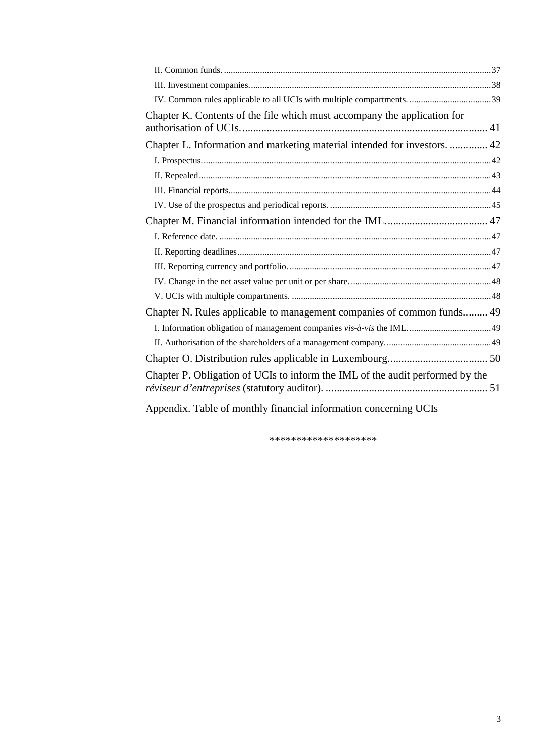| Chapter K. Contents of the file which must accompany the application for      |  |
|-------------------------------------------------------------------------------|--|
| Chapter L. Information and marketing material intended for investors.  42     |  |
|                                                                               |  |
|                                                                               |  |
|                                                                               |  |
|                                                                               |  |
|                                                                               |  |
|                                                                               |  |
|                                                                               |  |
|                                                                               |  |
|                                                                               |  |
|                                                                               |  |
| Chapter N. Rules applicable to management companies of common funds 49        |  |
|                                                                               |  |
|                                                                               |  |
|                                                                               |  |
| Chapter P. Obligation of UCIs to inform the IML of the audit performed by the |  |
| Appendix. Table of monthly financial information concerning UCIs              |  |

\*\*\*\*\*\*\*\*\*\*\*\*\*\*\*\*\*\*\*\*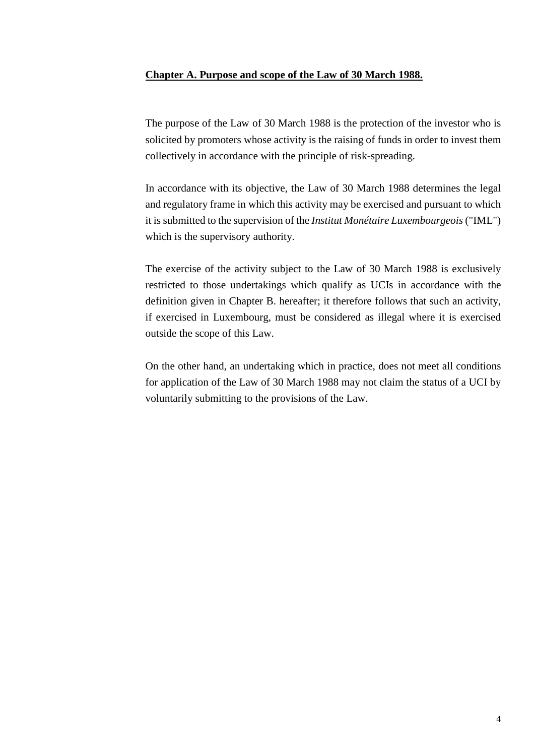## <span id="page-3-0"></span>**Chapter A. Purpose and scope of the Law of 30 March 1988.**

The purpose of the Law of 30 March 1988 is the protection of the investor who is solicited by promoters whose activity is the raising of funds in order to invest them collectively in accordance with the principle of risk-spreading.

In accordance with its objective, the Law of 30 March 1988 determines the legal and regulatory frame in which this activity may be exercised and pursuant to which it is submitted to the supervision of the *Institut Monétaire Luxembourgeois* ("IML") which is the supervisory authority.

The exercise of the activity subject to the Law of 30 March 1988 is exclusively restricted to those undertakings which qualify as UCIs in accordance with the definition given in Chapter B. hereafter; it therefore follows that such an activity, if exercised in Luxembourg, must be considered as illegal where it is exercised outside the scope of this Law.

On the other hand, an undertaking which in practice, does not meet all conditions for application of the Law of 30 March 1988 may not claim the status of a UCI by voluntarily submitting to the provisions of the Law.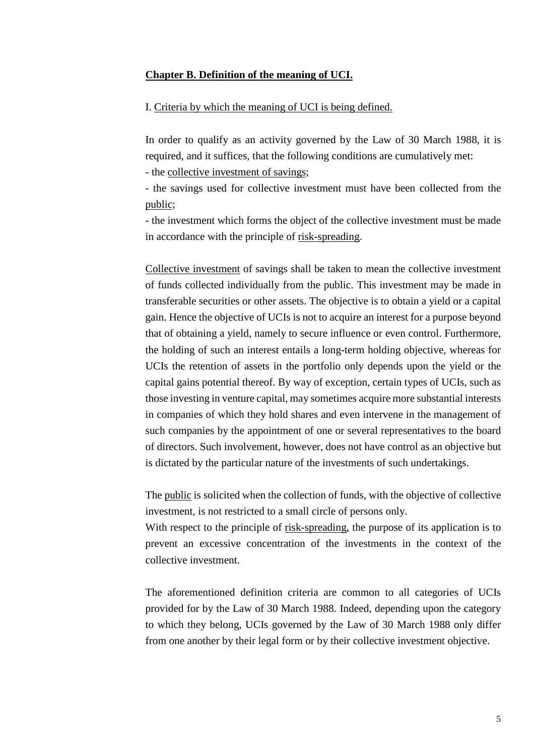#### <span id="page-4-0"></span>**Chapter B. Definition of the meaning of UCI.**

# <span id="page-4-1"></span>I. Criteria by which the meaning of UCI is being defined.

In order to qualify as an activity governed by the Law of 30 March 1988, it is required, and it suffices, that the following conditions are cumulatively met:

- the collective investment of savings;

- the savings used for collective investment must have been collected from the public;

- the investment which forms the object of the collective investment must be made in accordance with the principle of risk-spreading.

Collective investment of savings shall be taken to mean the collective investment of funds collected individually from the public. This investment may be made in transferable securities or other assets. The objective is to obtain a yield or a capital gain. Hence the objective of UCIs is not to acquire an interest for a purpose beyond that of obtaining a yield, namely to secure influence or even control. Furthermore, the holding of such an interest entails a long-term holding objective, whereas for UCIs the retention of assets in the portfolio only depends upon the yield or the capital gains potential thereof. By way of exception, certain types of UCIs, such as those investing in venture capital, may sometimes acquire more substantial interests in companies of which they hold shares and even intervene in the management of such companies by the appointment of one or several representatives to the board of directors. Such involvement, however, does not have control as an objective but is dictated by the particular nature of the investments of such undertakings.

The public is solicited when the collection of funds, with the objective of collective investment, is not restricted to a small circle of persons only.

With respect to the principle of risk-spreading, the purpose of its application is to prevent an excessive concentration of the investments in the context of the collective investment.

The aforementioned definition criteria are common to all categories of UCIs provided for by the Law of 30 March 1988. Indeed, depending upon the category to which they belong, UCIs governed by the Law of 30 March 1988 only differ from one another by their legal form or by their collective investment objective.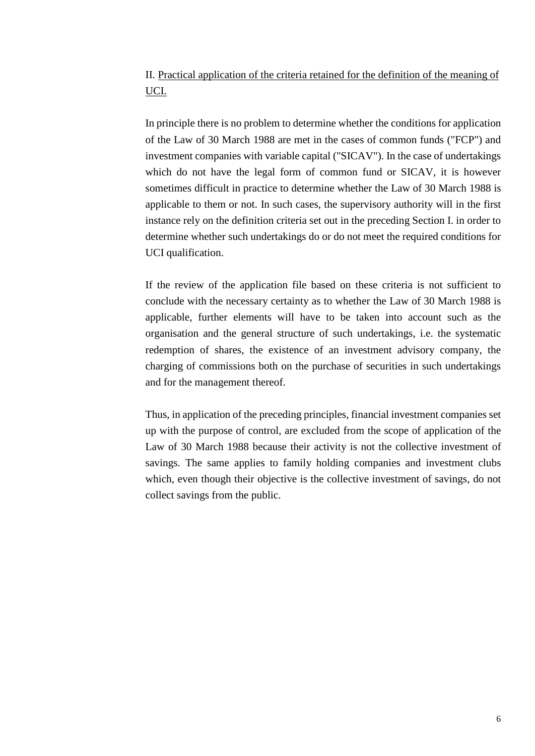# <span id="page-5-0"></span>II. Practical application of the criteria retained for the definition of the meaning of UCI.

In principle there is no problem to determine whether the conditions for application of the Law of 30 March 1988 are met in the cases of common funds ("FCP") and investment companies with variable capital ("SICAV"). In the case of undertakings which do not have the legal form of common fund or SICAV, it is however sometimes difficult in practice to determine whether the Law of 30 March 1988 is applicable to them or not. In such cases, the supervisory authority will in the first instance rely on the definition criteria set out in the preceding Section I. in order to determine whether such undertakings do or do not meet the required conditions for UCI qualification.

If the review of the application file based on these criteria is not sufficient to conclude with the necessary certainty as to whether the Law of 30 March 1988 is applicable, further elements will have to be taken into account such as the organisation and the general structure of such undertakings, i.e. the systematic redemption of shares, the existence of an investment advisory company, the charging of commissions both on the purchase of securities in such undertakings and for the management thereof.

Thus, in application of the preceding principles, financial investment companies set up with the purpose of control, are excluded from the scope of application of the Law of 30 March 1988 because their activity is not the collective investment of savings. The same applies to family holding companies and investment clubs which, even though their objective is the collective investment of savings, do not collect savings from the public.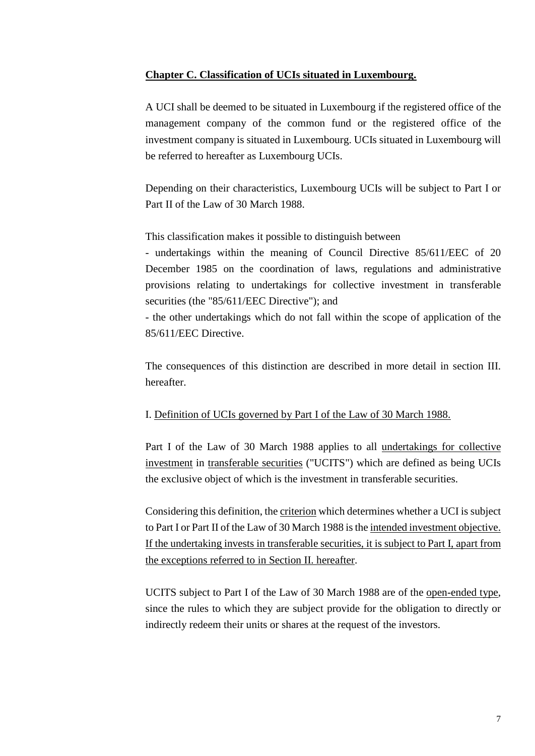## <span id="page-6-0"></span>**Chapter C. Classification of UCIs situated in Luxembourg.**

A UCI shall be deemed to be situated in Luxembourg if the registered office of the management company of the common fund or the registered office of the investment company is situated in Luxembourg. UCIs situated in Luxembourg will be referred to hereafter as Luxembourg UCIs.

Depending on their characteristics, Luxembourg UCIs will be subject to Part I or Part II of the Law of 30 March 1988.

This classification makes it possible to distinguish between

- undertakings within the meaning of Council Directive 85/611/EEC of 20 December 1985 on the coordination of laws, regulations and administrative provisions relating to undertakings for collective investment in transferable securities (the "85/611/EEC Directive"); and

- the other undertakings which do not fall within the scope of application of the 85/611/EEC Directive.

The consequences of this distinction are described in more detail in section III. hereafter.

# <span id="page-6-1"></span>I. Definition of UCIs governed by Part I of the Law of 30 March 1988.

Part I of the Law of 30 March 1988 applies to all undertakings for collective investment in transferable securities ("UCITS") which are defined as being UCIs the exclusive object of which is the investment in transferable securities.

Considering this definition, the criterion which determines whether a UCI is subject to Part I or Part II of the Law of 30 March 1988 is the intended investment objective. If the undertaking invests in transferable securities, it is subject to Part I, apart from the exceptions referred to in Section II. hereafter.

UCITS subject to Part I of the Law of 30 March 1988 are of the open-ended type, since the rules to which they are subject provide for the obligation to directly or indirectly redeem their units or shares at the request of the investors.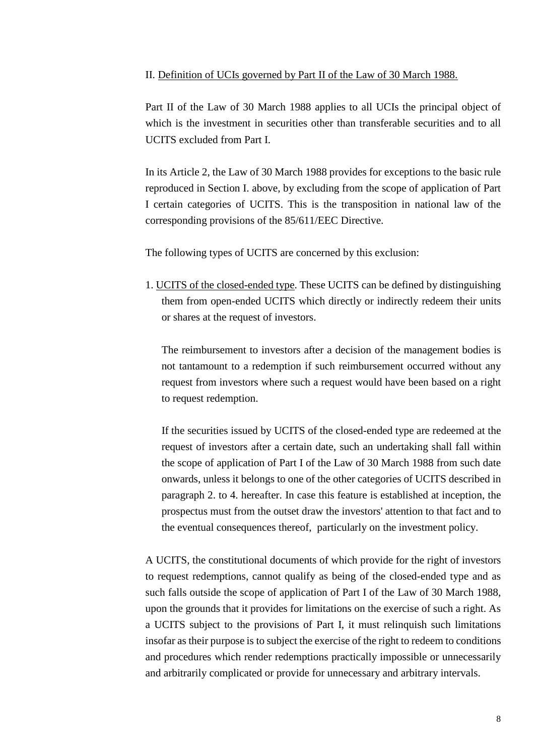#### <span id="page-7-0"></span>II. Definition of UCIs governed by Part II of the Law of 30 March 1988.

Part II of the Law of 30 March 1988 applies to all UCIs the principal object of which is the investment in securities other than transferable securities and to all UCITS excluded from Part I.

In its Article 2, the Law of 30 March 1988 provides for exceptions to the basic rule reproduced in Section I. above, by excluding from the scope of application of Part I certain categories of UCITS. This is the transposition in national law of the corresponding provisions of the 85/611/EEC Directive.

The following types of UCITS are concerned by this exclusion:

1. UCITS of the closed-ended type. These UCITS can be defined by distinguishing them from open-ended UCITS which directly or indirectly redeem their units or shares at the request of investors.

The reimbursement to investors after a decision of the management bodies is not tantamount to a redemption if such reimbursement occurred without any request from investors where such a request would have been based on a right to request redemption.

If the securities issued by UCITS of the closed-ended type are redeemed at the request of investors after a certain date, such an undertaking shall fall within the scope of application of Part I of the Law of 30 March 1988 from such date onwards, unless it belongs to one of the other categories of UCITS described in paragraph 2. to 4. hereafter. In case this feature is established at inception, the prospectus must from the outset draw the investors' attention to that fact and to the eventual consequences thereof, particularly on the investment policy.

A UCITS, the constitutional documents of which provide for the right of investors to request redemptions, cannot qualify as being of the closed-ended type and as such falls outside the scope of application of Part I of the Law of 30 March 1988, upon the grounds that it provides for limitations on the exercise of such a right. As a UCITS subject to the provisions of Part I, it must relinquish such limitations insofar as their purpose is to subject the exercise of the right to redeem to conditions and procedures which render redemptions practically impossible or unnecessarily and arbitrarily complicated or provide for unnecessary and arbitrary intervals.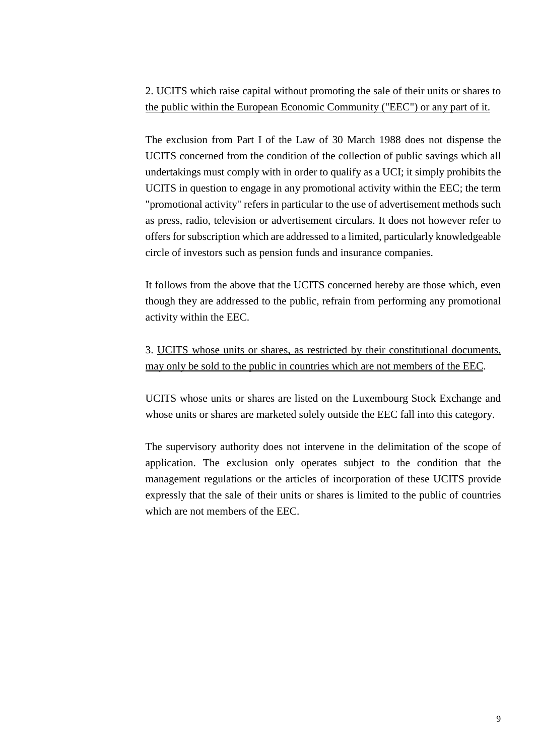2. UCITS which raise capital without promoting the sale of their units or shares to the public within the European Economic Community ("EEC") or any part of it.

The exclusion from Part I of the Law of 30 March 1988 does not dispense the UCITS concerned from the condition of the collection of public savings which all undertakings must comply with in order to qualify as a UCI; it simply prohibits the UCITS in question to engage in any promotional activity within the EEC; the term "promotional activity" refers in particular to the use of advertisement methods such as press, radio, television or advertisement circulars. It does not however refer to offers for subscription which are addressed to a limited, particularly knowledgeable circle of investors such as pension funds and insurance companies.

It follows from the above that the UCITS concerned hereby are those which, even though they are addressed to the public, refrain from performing any promotional activity within the EEC.

3. UCITS whose units or shares, as restricted by their constitutional documents, may only be sold to the public in countries which are not members of the EEC.

UCITS whose units or shares are listed on the Luxembourg Stock Exchange and whose units or shares are marketed solely outside the EEC fall into this category.

The supervisory authority does not intervene in the delimitation of the scope of application. The exclusion only operates subject to the condition that the management regulations or the articles of incorporation of these UCITS provide expressly that the sale of their units or shares is limited to the public of countries which are not members of the EEC.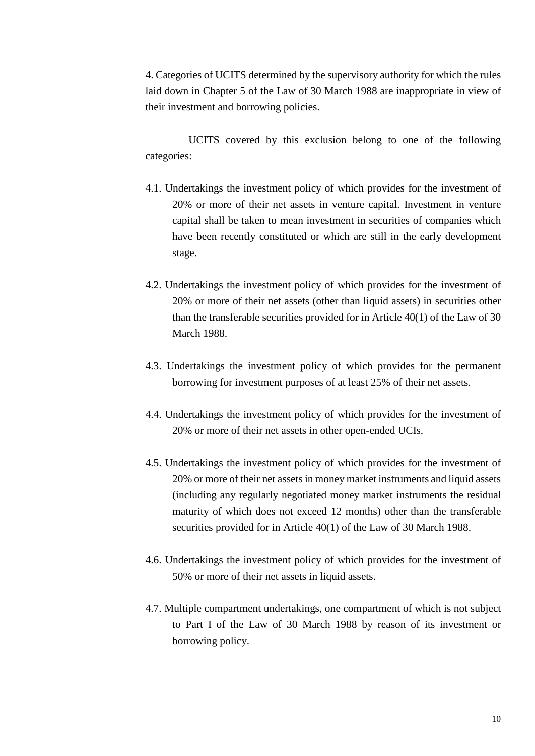4. Categories of UCITS determined by the supervisory authority for which the rules laid down in Chapter 5 of the Law of 30 March 1988 are inappropriate in view of their investment and borrowing policies.

UCITS covered by this exclusion belong to one of the following categories:

- 4.1. Undertakings the investment policy of which provides for the investment of 20% or more of their net assets in venture capital. Investment in venture capital shall be taken to mean investment in securities of companies which have been recently constituted or which are still in the early development stage.
- 4.2. Undertakings the investment policy of which provides for the investment of 20% or more of their net assets (other than liquid assets) in securities other than the transferable securities provided for in Article 40(1) of the Law of 30 March 1988.
- 4.3. Undertakings the investment policy of which provides for the permanent borrowing for investment purposes of at least 25% of their net assets.
- 4.4. Undertakings the investment policy of which provides for the investment of 20% or more of their net assets in other open-ended UCIs.
- 4.5. Undertakings the investment policy of which provides for the investment of 20% or more of their net assets in money market instruments and liquid assets (including any regularly negotiated money market instruments the residual maturity of which does not exceed 12 months) other than the transferable securities provided for in Article 40(1) of the Law of 30 March 1988.
- 4.6. Undertakings the investment policy of which provides for the investment of 50% or more of their net assets in liquid assets.
- 4.7. Multiple compartment undertakings, one compartment of which is not subject to Part I of the Law of 30 March 1988 by reason of its investment or borrowing policy.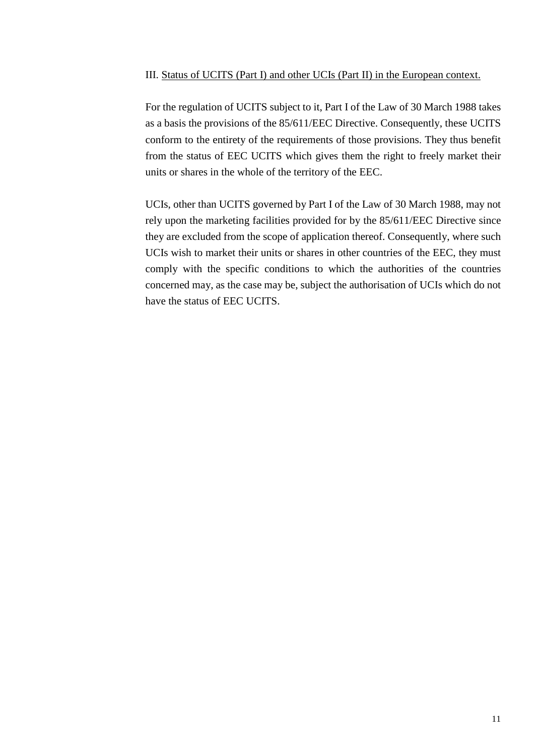#### <span id="page-10-0"></span>III. Status of UCITS (Part I) and other UCIs (Part II) in the European context.

For the regulation of UCITS subject to it, Part I of the Law of 30 March 1988 takes as a basis the provisions of the 85/611/EEC Directive. Consequently, these UCITS conform to the entirety of the requirements of those provisions. They thus benefit from the status of EEC UCITS which gives them the right to freely market their units or shares in the whole of the territory of the EEC.

UCIs, other than UCITS governed by Part I of the Law of 30 March 1988, may not rely upon the marketing facilities provided for by the 85/611/EEC Directive since they are excluded from the scope of application thereof. Consequently, where such UCIs wish to market their units or shares in other countries of the EEC, they must comply with the specific conditions to which the authorities of the countries concerned may, as the case may be, subject the authorisation of UCIs which do not have the status of EEC UCITS.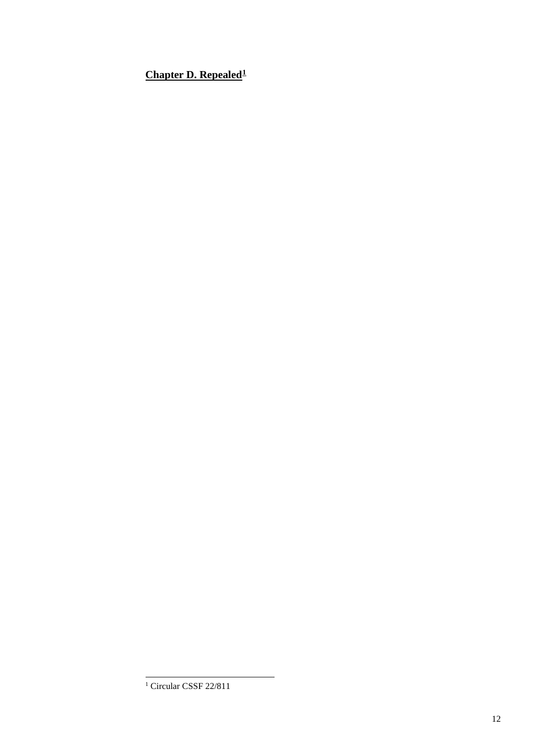<span id="page-11-0"></span>**Chapter D. Repealed[1](#page-11-1)**

<span id="page-11-1"></span><sup>&</sup>lt;sup>1</sup> Circular CSSF 22/811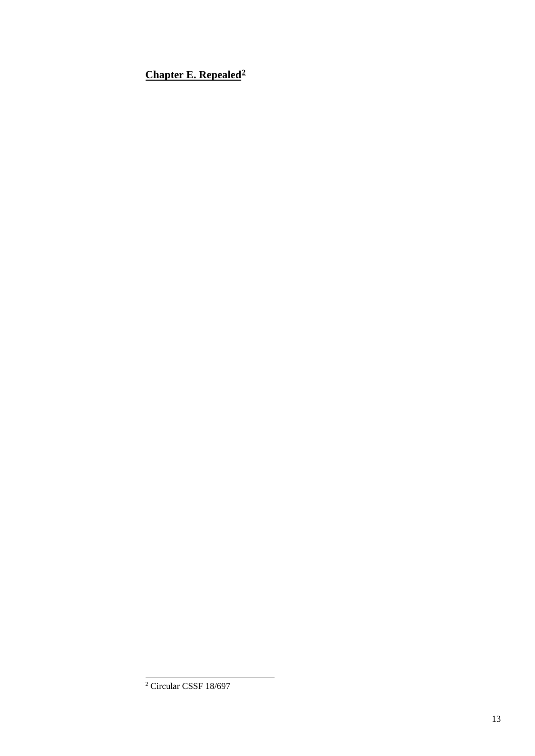<span id="page-12-0"></span>**Chapter E. Repealed[2](#page-12-1)**

<span id="page-12-1"></span>Circular CSSF 18/697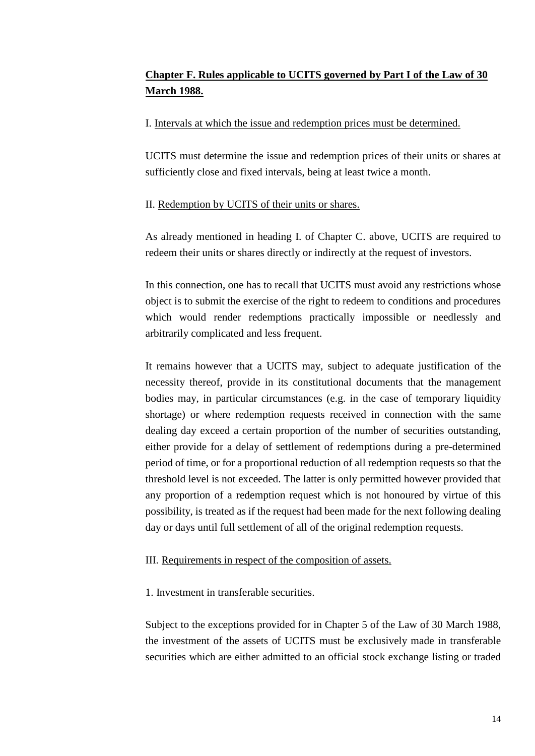# <span id="page-13-0"></span>**Chapter F. Rules applicable to UCITS governed by Part I of the Law of 30 March 1988.**

# <span id="page-13-1"></span>I. Intervals at which the issue and redemption prices must be determined.

UCITS must determine the issue and redemption prices of their units or shares at sufficiently close and fixed intervals, being at least twice a month.

# <span id="page-13-2"></span>II. Redemption by UCITS of their units or shares.

As already mentioned in heading I. of Chapter C. above, UCITS are required to redeem their units or shares directly or indirectly at the request of investors.

In this connection, one has to recall that UCITS must avoid any restrictions whose object is to submit the exercise of the right to redeem to conditions and procedures which would render redemptions practically impossible or needlessly and arbitrarily complicated and less frequent.

It remains however that a UCITS may, subject to adequate justification of the necessity thereof, provide in its constitutional documents that the management bodies may, in particular circumstances (e.g. in the case of temporary liquidity shortage) or where redemption requests received in connection with the same dealing day exceed a certain proportion of the number of securities outstanding, either provide for a delay of settlement of redemptions during a pre-determined period of time, or for a proportional reduction of all redemption requests so that the threshold level is not exceeded. The latter is only permitted however provided that any proportion of a redemption request which is not honoured by virtue of this possibility, is treated as if the request had been made for the next following dealing day or days until full settlement of all of the original redemption requests.

# <span id="page-13-3"></span>III. Requirements in respect of the composition of assets.

1. Investment in transferable securities.

Subject to the exceptions provided for in Chapter 5 of the Law of 30 March 1988, the investment of the assets of UCITS must be exclusively made in transferable securities which are either admitted to an official stock exchange listing or traded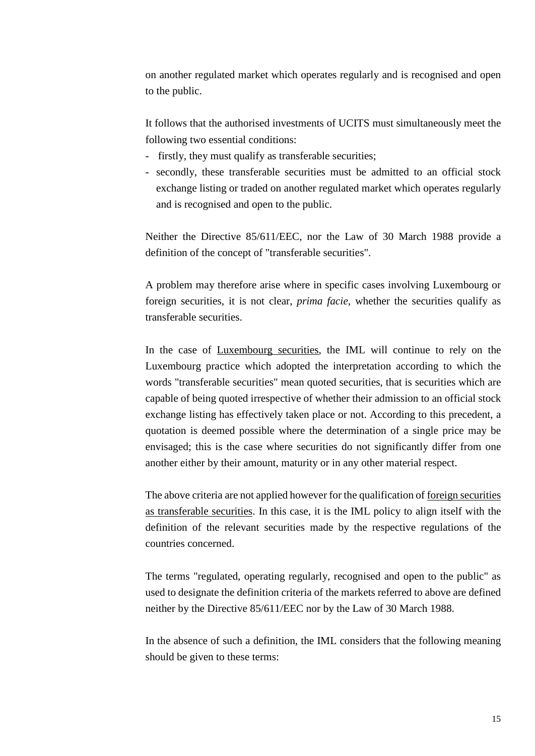on another regulated market which operates regularly and is recognised and open to the public.

It follows that the authorised investments of UCITS must simultaneously meet the following two essential conditions:

- firstly, they must qualify as transferable securities;
- secondly, these transferable securities must be admitted to an official stock exchange listing or traded on another regulated market which operates regularly and is recognised and open to the public.

Neither the Directive 85/611/EEC, nor the Law of 30 March 1988 provide a definition of the concept of "transferable securities".

A problem may therefore arise where in specific cases involving Luxembourg or foreign securities, it is not clear, *prima facie*, whether the securities qualify as transferable securities.

In the case of Luxembourg securities, the IML will continue to rely on the Luxembourg practice which adopted the interpretation according to which the words "transferable securities" mean quoted securities, that is securities which are capable of being quoted irrespective of whether their admission to an official stock exchange listing has effectively taken place or not. According to this precedent, a quotation is deemed possible where the determination of a single price may be envisaged; this is the case where securities do not significantly differ from one another either by their amount, maturity or in any other material respect.

The above criteria are not applied however for the qualification of foreign securities as transferable securities. In this case, it is the IML policy to align itself with the definition of the relevant securities made by the respective regulations of the countries concerned.

The terms "regulated, operating regularly, recognised and open to the public" as used to designate the definition criteria of the markets referred to above are defined neither by the Directive 85/611/EEC nor by the Law of 30 March 1988.

In the absence of such a definition, the IML considers that the following meaning should be given to these terms: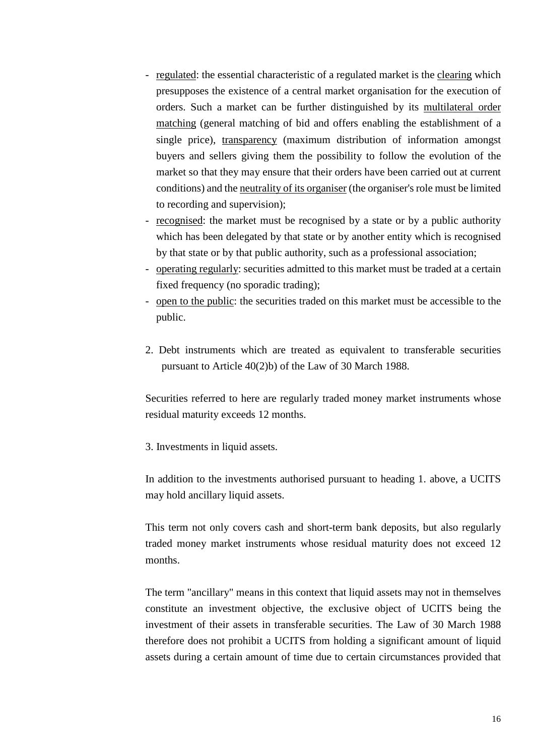- regulated: the essential characteristic of a regulated market is the clearing which presupposes the existence of a central market organisation for the execution of orders. Such a market can be further distinguished by its multilateral order matching (general matching of bid and offers enabling the establishment of a single price), transparency (maximum distribution of information amongst buyers and sellers giving them the possibility to follow the evolution of the market so that they may ensure that their orders have been carried out at current conditions) and the neutrality of its organiser (the organiser's role must be limited to recording and supervision);
- <u>recognised</u>: the market must be recognised by a state or by a public authority which has been delegated by that state or by another entity which is recognised by that state or by that public authority, such as a professional association;
- operating regularly: securities admitted to this market must be traded at a certain fixed frequency (no sporadic trading);
- open to the public: the securities traded on this market must be accessible to the public.
- 2. Debt instruments which are treated as equivalent to transferable securities pursuant to Article 40(2)b) of the Law of 30 March 1988.

Securities referred to here are regularly traded money market instruments whose residual maturity exceeds 12 months.

3. Investments in liquid assets.

In addition to the investments authorised pursuant to heading 1. above, a UCITS may hold ancillary liquid assets.

This term not only covers cash and short-term bank deposits, but also regularly traded money market instruments whose residual maturity does not exceed 12 months.

The term "ancillary" means in this context that liquid assets may not in themselves constitute an investment objective, the exclusive object of UCITS being the investment of their assets in transferable securities. The Law of 30 March 1988 therefore does not prohibit a UCITS from holding a significant amount of liquid assets during a certain amount of time due to certain circumstances provided that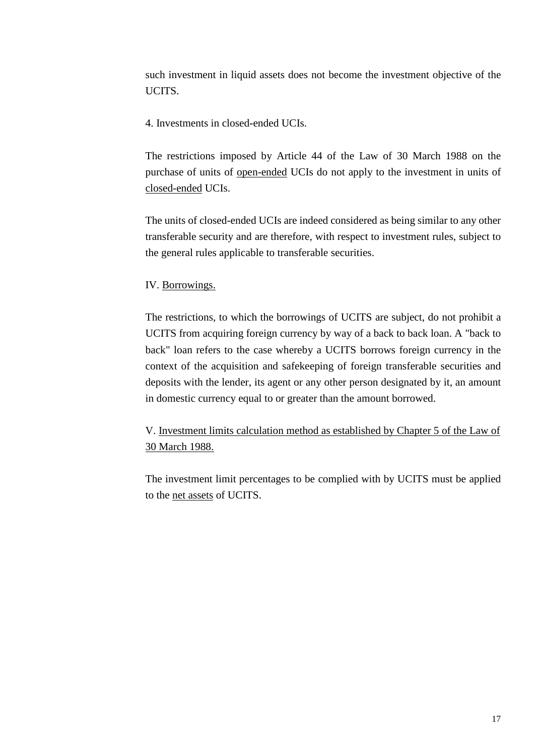such investment in liquid assets does not become the investment objective of the UCITS.

4. Investments in closed-ended UCIs.

The restrictions imposed by Article 44 of the Law of 30 March 1988 on the purchase of units of open-ended UCIs do not apply to the investment in units of closed-ended UCIs.

The units of closed-ended UCIs are indeed considered as being similar to any other transferable security and are therefore, with respect to investment rules, subject to the general rules applicable to transferable securities.

# <span id="page-16-0"></span>IV. Borrowings.

The restrictions, to which the borrowings of UCITS are subject, do not prohibit a UCITS from acquiring foreign currency by way of a back to back loan. A "back to back" loan refers to the case whereby a UCITS borrows foreign currency in the context of the acquisition and safekeeping of foreign transferable securities and deposits with the lender, its agent or any other person designated by it, an amount in domestic currency equal to or greater than the amount borrowed.

<span id="page-16-1"></span>V. Investment limits calculation method as established by Chapter 5 of the Law of 30 March 1988.

The investment limit percentages to be complied with by UCITS must be applied to the net assets of UCITS.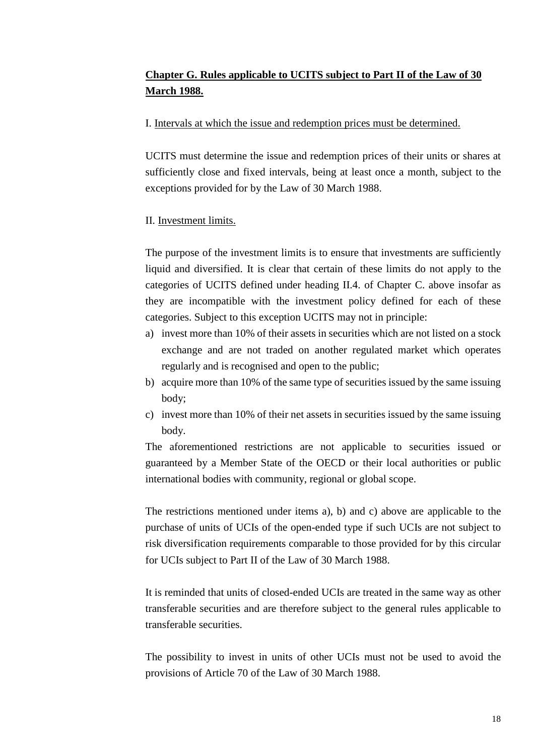# <span id="page-17-0"></span>**Chapter G. Rules applicable to UCITS subject to Part II of the Law of 30 March 1988.**

# <span id="page-17-1"></span>I. Intervals at which the issue and redemption prices must be determined.

UCITS must determine the issue and redemption prices of their units or shares at sufficiently close and fixed intervals, being at least once a month, subject to the exceptions provided for by the Law of 30 March 1988.

# <span id="page-17-2"></span>II. Investment limits.

The purpose of the investment limits is to ensure that investments are sufficiently liquid and diversified. It is clear that certain of these limits do not apply to the categories of UCITS defined under heading II.4. of Chapter C. above insofar as they are incompatible with the investment policy defined for each of these categories. Subject to this exception UCITS may not in principle:

- a) invest more than 10% of their assets in securities which are not listed on a stock exchange and are not traded on another regulated market which operates regularly and is recognised and open to the public;
- b) acquire more than 10% of the same type of securities issued by the same issuing body;
- c) invest more than 10% of their net assets in securities issued by the same issuing body.

The aforementioned restrictions are not applicable to securities issued or guaranteed by a Member State of the OECD or their local authorities or public international bodies with community, regional or global scope.

The restrictions mentioned under items a), b) and c) above are applicable to the purchase of units of UCIs of the open-ended type if such UCIs are not subject to risk diversification requirements comparable to those provided for by this circular for UCIs subject to Part II of the Law of 30 March 1988.

It is reminded that units of closed-ended UCIs are treated in the same way as other transferable securities and are therefore subject to the general rules applicable to transferable securities.

The possibility to invest in units of other UCIs must not be used to avoid the provisions of Article 70 of the Law of 30 March 1988.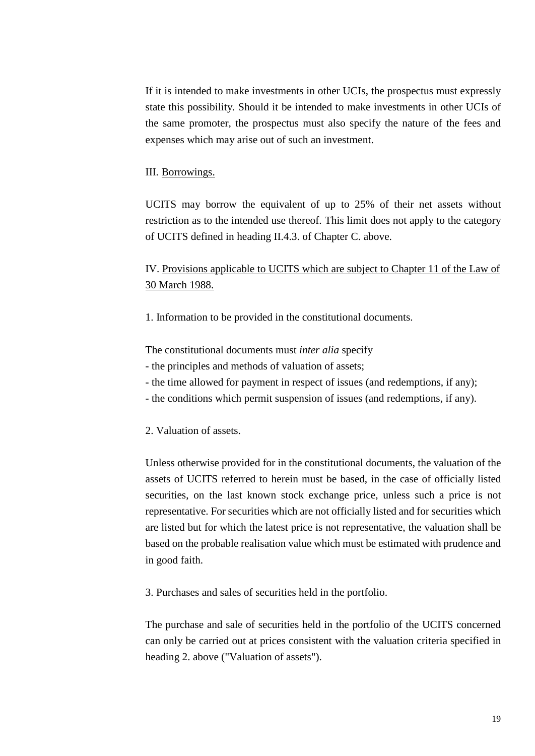If it is intended to make investments in other UCIs, the prospectus must expressly state this possibility. Should it be intended to make investments in other UCIs of the same promoter, the prospectus must also specify the nature of the fees and expenses which may arise out of such an investment.

### <span id="page-18-0"></span>III. Borrowings.

UCITS may borrow the equivalent of up to 25% of their net assets without restriction as to the intended use thereof. This limit does not apply to the category of UCITS defined in heading II.4.3. of Chapter C. above.

<span id="page-18-1"></span>IV. Provisions applicable to UCITS which are subject to Chapter 11 of the Law of 30 March 1988.

1. Information to be provided in the constitutional documents.

The constitutional documents must *inter alia* specify

- the principles and methods of valuation of assets;
- the time allowed for payment in respect of issues (and redemptions, if any);
- the conditions which permit suspension of issues (and redemptions, if any).

#### 2. Valuation of assets.

Unless otherwise provided for in the constitutional documents, the valuation of the assets of UCITS referred to herein must be based, in the case of officially listed securities, on the last known stock exchange price, unless such a price is not representative. For securities which are not officially listed and for securities which are listed but for which the latest price is not representative, the valuation shall be based on the probable realisation value which must be estimated with prudence and in good faith.

3. Purchases and sales of securities held in the portfolio.

The purchase and sale of securities held in the portfolio of the UCITS concerned can only be carried out at prices consistent with the valuation criteria specified in heading 2. above ("Valuation of assets").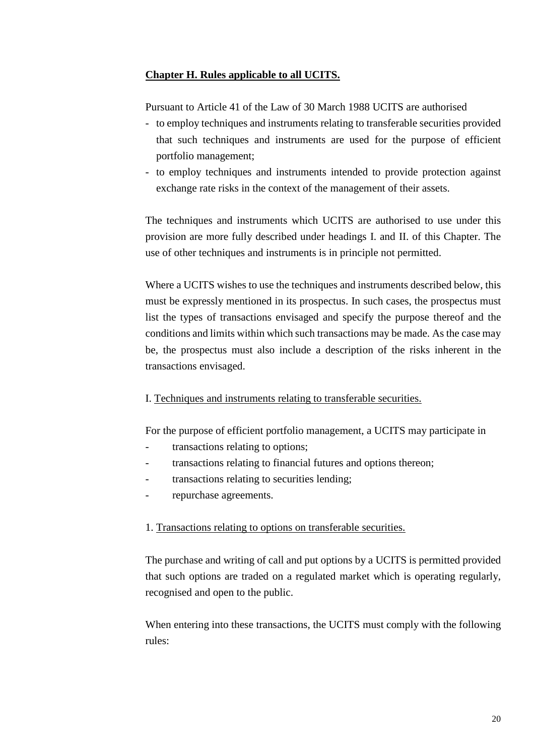# <span id="page-19-0"></span>**Chapter H. Rules applicable to all UCITS.**

Pursuant to Article 41 of the Law of 30 March 1988 UCITS are authorised

- to employ techniques and instruments relating to transferable securities provided that such techniques and instruments are used for the purpose of efficient portfolio management;
- to employ techniques and instruments intended to provide protection against exchange rate risks in the context of the management of their assets.

The techniques and instruments which UCITS are authorised to use under this provision are more fully described under headings I. and II. of this Chapter. The use of other techniques and instruments is in principle not permitted.

Where a UCITS wishes to use the techniques and instruments described below, this must be expressly mentioned in its prospectus. In such cases, the prospectus must list the types of transactions envisaged and specify the purpose thereof and the conditions and limits within which such transactions may be made. As the case may be, the prospectus must also include a description of the risks inherent in the transactions envisaged.

# <span id="page-19-1"></span>I. Techniques and instruments relating to transferable securities.

For the purpose of efficient portfolio management, a UCITS may participate in

- transactions relating to options;
- transactions relating to financial futures and options thereon;
- transactions relating to securities lending;
- repurchase agreements.

## 1. Transactions relating to options on transferable securities.

The purchase and writing of call and put options by a UCITS is permitted provided that such options are traded on a regulated market which is operating regularly, recognised and open to the public.

When entering into these transactions, the UCITS must comply with the following rules: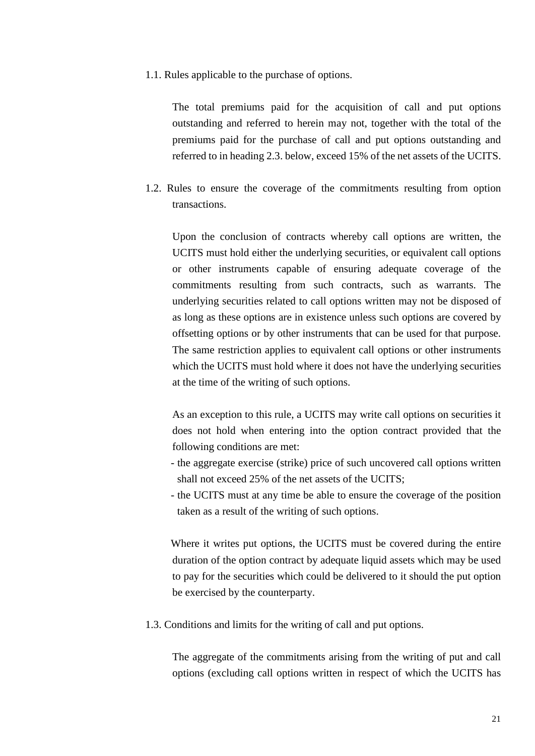1.1. Rules applicable to the purchase of options.

The total premiums paid for the acquisition of call and put options outstanding and referred to herein may not, together with the total of the premiums paid for the purchase of call and put options outstanding and referred to in heading 2.3. below, exceed 15% of the net assets of the UCITS.

1.2. Rules to ensure the coverage of the commitments resulting from option transactions.

Upon the conclusion of contracts whereby call options are written, the UCITS must hold either the underlying securities, or equivalent call options or other instruments capable of ensuring adequate coverage of the commitments resulting from such contracts, such as warrants. The underlying securities related to call options written may not be disposed of as long as these options are in existence unless such options are covered by offsetting options or by other instruments that can be used for that purpose. The same restriction applies to equivalent call options or other instruments which the UCITS must hold where it does not have the underlying securities at the time of the writing of such options.

As an exception to this rule, a UCITS may write call options on securities it does not hold when entering into the option contract provided that the following conditions are met:

- the aggregate exercise (strike) price of such uncovered call options written shall not exceed 25% of the net assets of the UCITS;
- the UCITS must at any time be able to ensure the coverage of the position taken as a result of the writing of such options.

Where it writes put options, the UCITS must be covered during the entire duration of the option contract by adequate liquid assets which may be used to pay for the securities which could be delivered to it should the put option be exercised by the counterparty.

1.3. Conditions and limits for the writing of call and put options.

The aggregate of the commitments arising from the writing of put and call options (excluding call options written in respect of which the UCITS has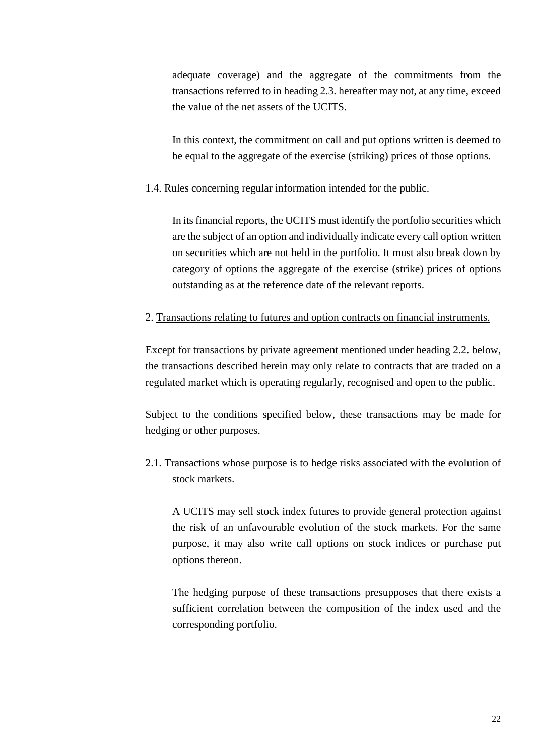adequate coverage) and the aggregate of the commitments from the transactions referred to in heading 2.3. hereafter may not, at any time, exceed the value of the net assets of the UCITS.

In this context, the commitment on call and put options written is deemed to be equal to the aggregate of the exercise (striking) prices of those options.

1.4. Rules concerning regular information intended for the public.

In its financial reports, the UCITS must identify the portfolio securities which are the subject of an option and individually indicate every call option written on securities which are not held in the portfolio. It must also break down by category of options the aggregate of the exercise (strike) prices of options outstanding as at the reference date of the relevant reports.

2. Transactions relating to futures and option contracts on financial instruments.

Except for transactions by private agreement mentioned under heading 2.2. below, the transactions described herein may only relate to contracts that are traded on a regulated market which is operating regularly, recognised and open to the public.

Subject to the conditions specified below, these transactions may be made for hedging or other purposes.

2.1. Transactions whose purpose is to hedge risks associated with the evolution of stock markets.

A UCITS may sell stock index futures to provide general protection against the risk of an unfavourable evolution of the stock markets. For the same purpose, it may also write call options on stock indices or purchase put options thereon.

The hedging purpose of these transactions presupposes that there exists a sufficient correlation between the composition of the index used and the corresponding portfolio.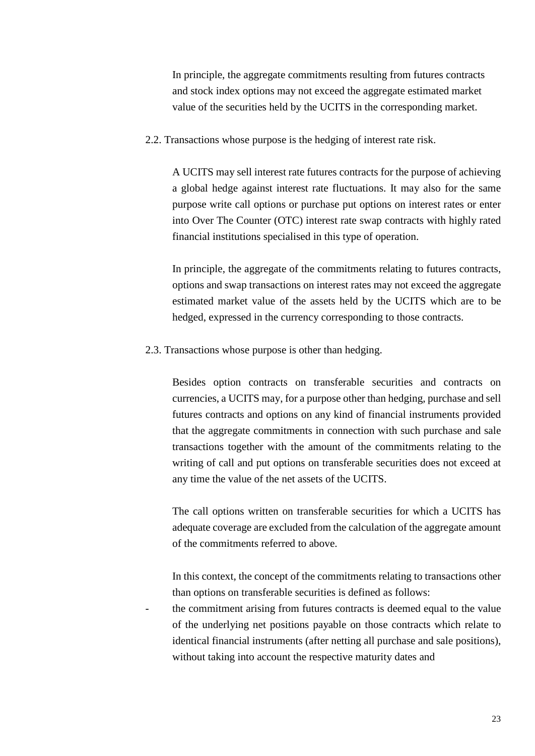In principle, the aggregate commitments resulting from futures contracts and stock index options may not exceed the aggregate estimated market value of the securities held by the UCITS in the corresponding market.

2.2. Transactions whose purpose is the hedging of interest rate risk.

A UCITS may sell interest rate futures contracts for the purpose of achieving a global hedge against interest rate fluctuations. It may also for the same purpose write call options or purchase put options on interest rates or enter into Over The Counter (OTC) interest rate swap contracts with highly rated financial institutions specialised in this type of operation.

In principle, the aggregate of the commitments relating to futures contracts, options and swap transactions on interest rates may not exceed the aggregate estimated market value of the assets held by the UCITS which are to be hedged, expressed in the currency corresponding to those contracts.

2.3. Transactions whose purpose is other than hedging.

Besides option contracts on transferable securities and contracts on currencies, a UCITS may, for a purpose other than hedging, purchase and sell futures contracts and options on any kind of financial instruments provided that the aggregate commitments in connection with such purchase and sale transactions together with the amount of the commitments relating to the writing of call and put options on transferable securities does not exceed at any time the value of the net assets of the UCITS.

The call options written on transferable securities for which a UCITS has adequate coverage are excluded from the calculation of the aggregate amount of the commitments referred to above.

In this context, the concept of the commitments relating to transactions other than options on transferable securities is defined as follows:

the commitment arising from futures contracts is deemed equal to the value of the underlying net positions payable on those contracts which relate to identical financial instruments (after netting all purchase and sale positions), without taking into account the respective maturity dates and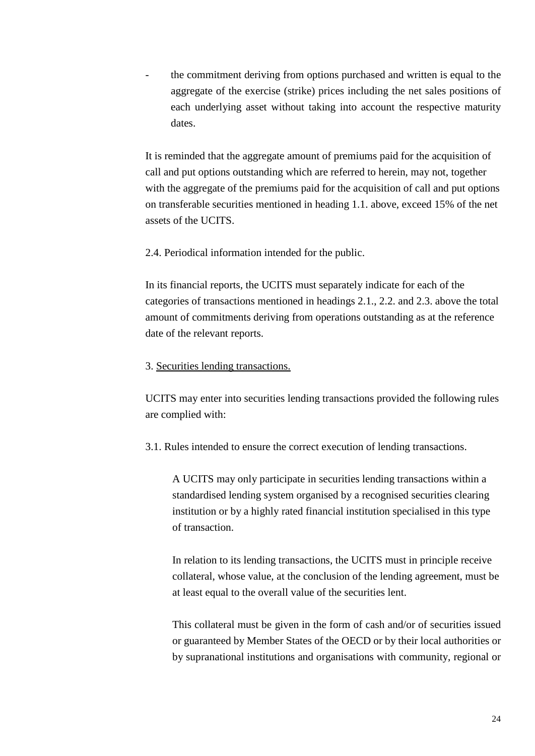the commitment deriving from options purchased and written is equal to the aggregate of the exercise (strike) prices including the net sales positions of each underlying asset without taking into account the respective maturity dates.

It is reminded that the aggregate amount of premiums paid for the acquisition of call and put options outstanding which are referred to herein, may not, together with the aggregate of the premiums paid for the acquisition of call and put options on transferable securities mentioned in heading 1.1. above, exceed 15% of the net assets of the UCITS.

2.4. Periodical information intended for the public.

In its financial reports, the UCITS must separately indicate for each of the categories of transactions mentioned in headings 2.1., 2.2. and 2.3. above the total amount of commitments deriving from operations outstanding as at the reference date of the relevant reports.

#### 3. Securities lending transactions.

UCITS may enter into securities lending transactions provided the following rules are complied with:

3.1. Rules intended to ensure the correct execution of lending transactions.

A UCITS may only participate in securities lending transactions within a standardised lending system organised by a recognised securities clearing institution or by a highly rated financial institution specialised in this type of transaction.

In relation to its lending transactions, the UCITS must in principle receive collateral, whose value, at the conclusion of the lending agreement, must be at least equal to the overall value of the securities lent.

This collateral must be given in the form of cash and/or of securities issued or guaranteed by Member States of the OECD or by their local authorities or by supranational institutions and organisations with community, regional or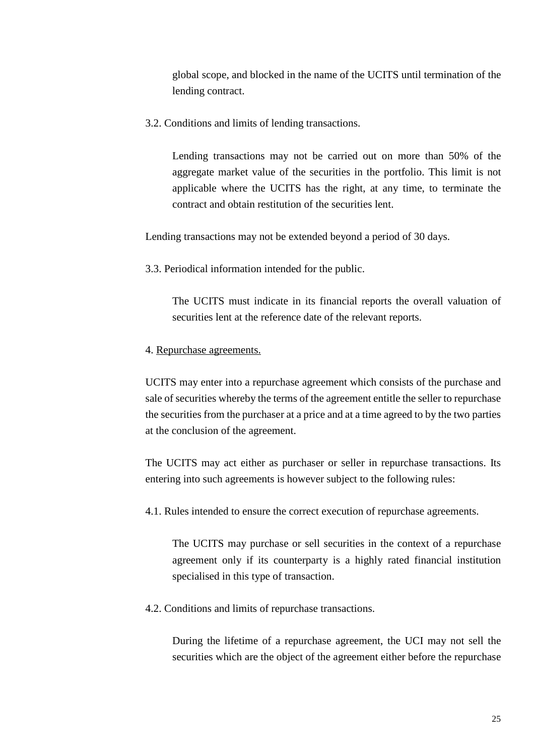global scope, and blocked in the name of the UCITS until termination of the lending contract.

3.2. Conditions and limits of lending transactions.

Lending transactions may not be carried out on more than 50% of the aggregate market value of the securities in the portfolio. This limit is not applicable where the UCITS has the right, at any time, to terminate the contract and obtain restitution of the securities lent.

Lending transactions may not be extended beyond a period of 30 days.

3.3. Periodical information intended for the public.

The UCITS must indicate in its financial reports the overall valuation of securities lent at the reference date of the relevant reports.

### 4. Repurchase agreements.

UCITS may enter into a repurchase agreement which consists of the purchase and sale of securities whereby the terms of the agreement entitle the seller to repurchase the securities from the purchaser at a price and at a time agreed to by the two parties at the conclusion of the agreement.

The UCITS may act either as purchaser or seller in repurchase transactions. Its entering into such agreements is however subject to the following rules:

4.1. Rules intended to ensure the correct execution of repurchase agreements.

The UCITS may purchase or sell securities in the context of a repurchase agreement only if its counterparty is a highly rated financial institution specialised in this type of transaction.

4.2. Conditions and limits of repurchase transactions.

During the lifetime of a repurchase agreement, the UCI may not sell the securities which are the object of the agreement either before the repurchase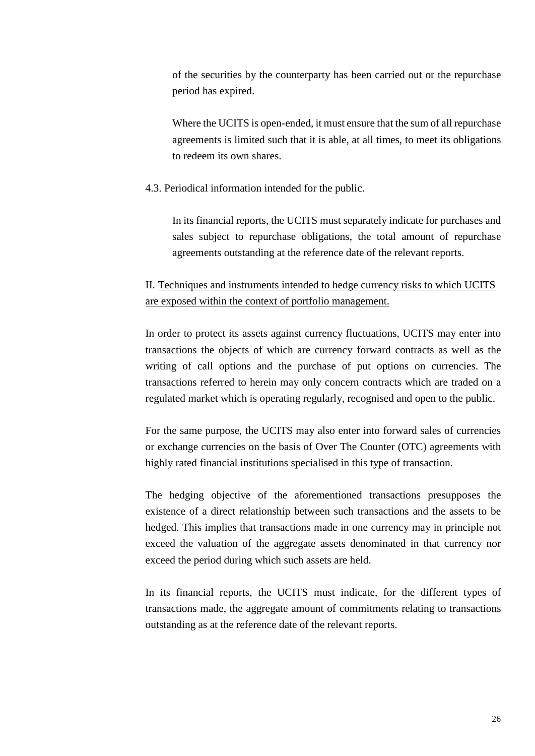of the securities by the counterparty has been carried out or the repurchase period has expired.

Where the UCITS is open-ended, it must ensure that the sum of all repurchase agreements is limited such that it is able, at all times, to meet its obligations to redeem its own shares.

### 4.3. Periodical information intended for the public.

In its financial reports, the UCITS must separately indicate for purchases and sales subject to repurchase obligations, the total amount of repurchase agreements outstanding at the reference date of the relevant reports.

# <span id="page-25-0"></span>II. Techniques and instruments intended to hedge currency risks to which UCITS are exposed within the context of portfolio management.

In order to protect its assets against currency fluctuations, UCITS may enter into transactions the objects of which are currency forward contracts as well as the writing of call options and the purchase of put options on currencies. The transactions referred to herein may only concern contracts which are traded on a regulated market which is operating regularly, recognised and open to the public.

For the same purpose, the UCITS may also enter into forward sales of currencies or exchange currencies on the basis of Over The Counter (OTC) agreements with highly rated financial institutions specialised in this type of transaction.

The hedging objective of the aforementioned transactions presupposes the existence of a direct relationship between such transactions and the assets to be hedged. This implies that transactions made in one currency may in principle not exceed the valuation of the aggregate assets denominated in that currency nor exceed the period during which such assets are held.

In its financial reports, the UCITS must indicate, for the different types of transactions made, the aggregate amount of commitments relating to transactions outstanding as at the reference date of the relevant reports.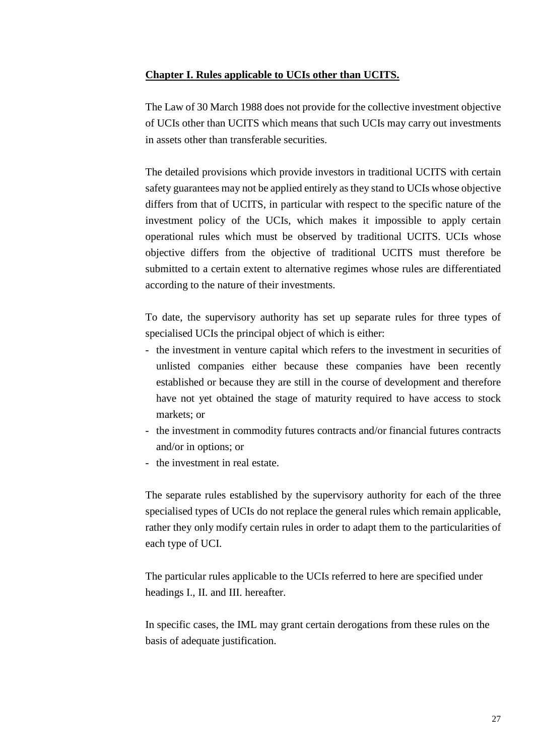## <span id="page-26-0"></span>**Chapter I. Rules applicable to UCIs other than UCITS.**

The Law of 30 March 1988 does not provide for the collective investment objective of UCIs other than UCITS which means that such UCIs may carry out investments in assets other than transferable securities.

The detailed provisions which provide investors in traditional UCITS with certain safety guarantees may not be applied entirely as they stand to UCIs whose objective differs from that of UCITS, in particular with respect to the specific nature of the investment policy of the UCIs, which makes it impossible to apply certain operational rules which must be observed by traditional UCITS. UCIs whose objective differs from the objective of traditional UCITS must therefore be submitted to a certain extent to alternative regimes whose rules are differentiated according to the nature of their investments.

To date, the supervisory authority has set up separate rules for three types of specialised UCIs the principal object of which is either:

- the investment in venture capital which refers to the investment in securities of unlisted companies either because these companies have been recently established or because they are still in the course of development and therefore have not yet obtained the stage of maturity required to have access to stock markets; or
- the investment in commodity futures contracts and/or financial futures contracts and/or in options; or
- the investment in real estate.

The separate rules established by the supervisory authority for each of the three specialised types of UCIs do not replace the general rules which remain applicable, rather they only modify certain rules in order to adapt them to the particularities of each type of UCI.

The particular rules applicable to the UCIs referred to here are specified under headings I., II. and III. hereafter.

In specific cases, the IML may grant certain derogations from these rules on the basis of adequate justification.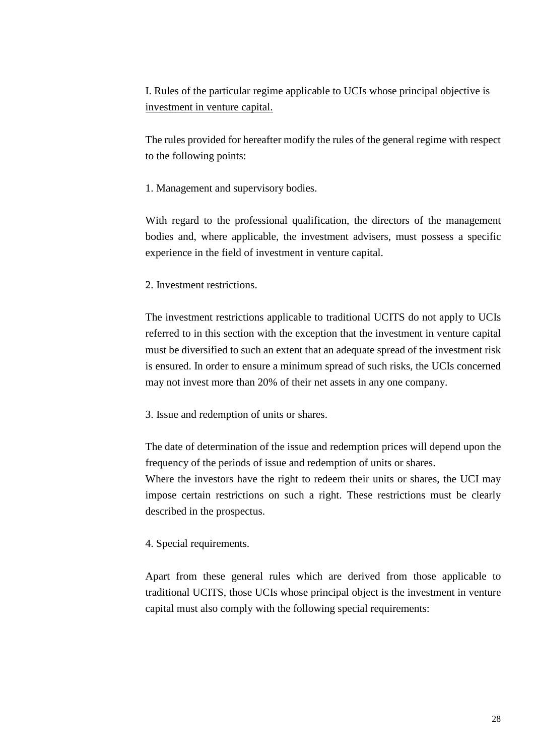<span id="page-27-0"></span>I. Rules of the particular regime applicable to UCIs whose principal objective is investment in venture capital.

The rules provided for hereafter modify the rules of the general regime with respect to the following points:

1. Management and supervisory bodies.

With regard to the professional qualification, the directors of the management bodies and, where applicable, the investment advisers, must possess a specific experience in the field of investment in venture capital.

2. Investment restrictions.

The investment restrictions applicable to traditional UCITS do not apply to UCIs referred to in this section with the exception that the investment in venture capital must be diversified to such an extent that an adequate spread of the investment risk is ensured. In order to ensure a minimum spread of such risks, the UCIs concerned may not invest more than 20% of their net assets in any one company.

3. Issue and redemption of units or shares.

The date of determination of the issue and redemption prices will depend upon the frequency of the periods of issue and redemption of units or shares.

Where the investors have the right to redeem their units or shares, the UCI may impose certain restrictions on such a right. These restrictions must be clearly described in the prospectus.

4. Special requirements.

Apart from these general rules which are derived from those applicable to traditional UCITS, those UCIs whose principal object is the investment in venture capital must also comply with the following special requirements: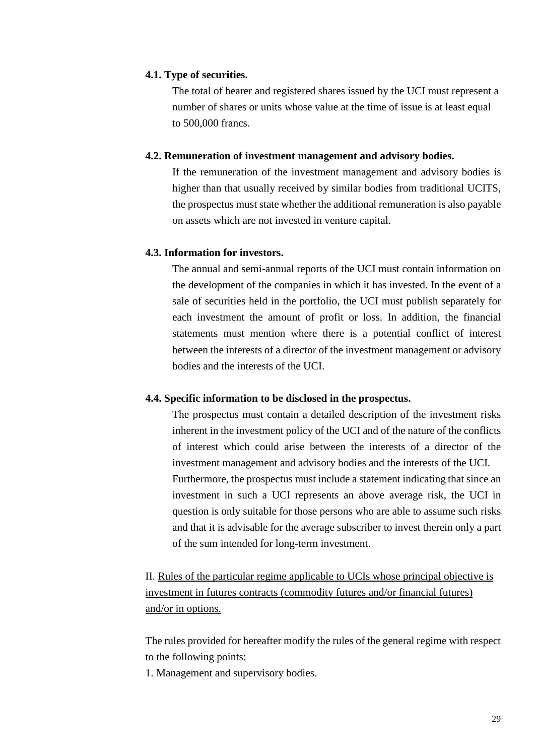### **4.1. Type of securities.**

The total of bearer and registered shares issued by the UCI must represent a number of shares or units whose value at the time of issue is at least equal to 500,000 francs.

#### **4.2. Remuneration of investment management and advisory bodies.**

If the remuneration of the investment management and advisory bodies is higher than that usually received by similar bodies from traditional UCITS, the prospectus must state whether the additional remuneration is also payable on assets which are not invested in venture capital.

## **4.3. Information for investors.**

The annual and semi-annual reports of the UCI must contain information on the development of the companies in which it has invested. In the event of a sale of securities held in the portfolio, the UCI must publish separately for each investment the amount of profit or loss. In addition, the financial statements must mention where there is a potential conflict of interest between the interests of a director of the investment management or advisory bodies and the interests of the UCI.

## **4.4. Specific information to be disclosed in the prospectus.**

The prospectus must contain a detailed description of the investment risks inherent in the investment policy of the UCI and of the nature of the conflicts of interest which could arise between the interests of a director of the investment management and advisory bodies and the interests of the UCI. Furthermore, the prospectus must include a statement indicating that since an investment in such a UCI represents an above average risk, the UCI in question is only suitable for those persons who are able to assume such risks and that it is advisable for the average subscriber to invest therein only a part of the sum intended for long-term investment.

<span id="page-28-0"></span>II. Rules of the particular regime applicable to UCIs whose principal objective is investment in futures contracts (commodity futures and/or financial futures) and/or in options.

The rules provided for hereafter modify the rules of the general regime with respect to the following points:

1. Management and supervisory bodies.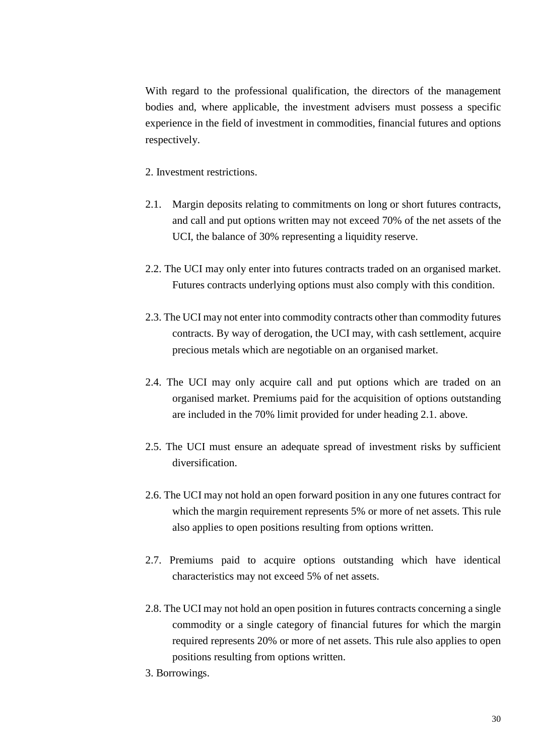With regard to the professional qualification, the directors of the management bodies and, where applicable, the investment advisers must possess a specific experience in the field of investment in commodities, financial futures and options respectively.

2. Investment restrictions.

- 2.1. Margin deposits relating to commitments on long or short futures contracts, and call and put options written may not exceed 70% of the net assets of the UCI, the balance of 30% representing a liquidity reserve.
- 2.2. The UCI may only enter into futures contracts traded on an organised market. Futures contracts underlying options must also comply with this condition.
- 2.3. The UCI may not enter into commodity contracts other than commodity futures contracts. By way of derogation, the UCI may, with cash settlement, acquire precious metals which are negotiable on an organised market.
- 2.4. The UCI may only acquire call and put options which are traded on an organised market. Premiums paid for the acquisition of options outstanding are included in the 70% limit provided for under heading 2.1. above.
- 2.5. The UCI must ensure an adequate spread of investment risks by sufficient diversification.
- 2.6. The UCI may not hold an open forward position in any one futures contract for which the margin requirement represents 5% or more of net assets. This rule also applies to open positions resulting from options written.
- 2.7. Premiums paid to acquire options outstanding which have identical characteristics may not exceed 5% of net assets.
- 2.8. The UCI may not hold an open position in futures contracts concerning a single commodity or a single category of financial futures for which the margin required represents 20% or more of net assets. This rule also applies to open positions resulting from options written.
- 3. Borrowings.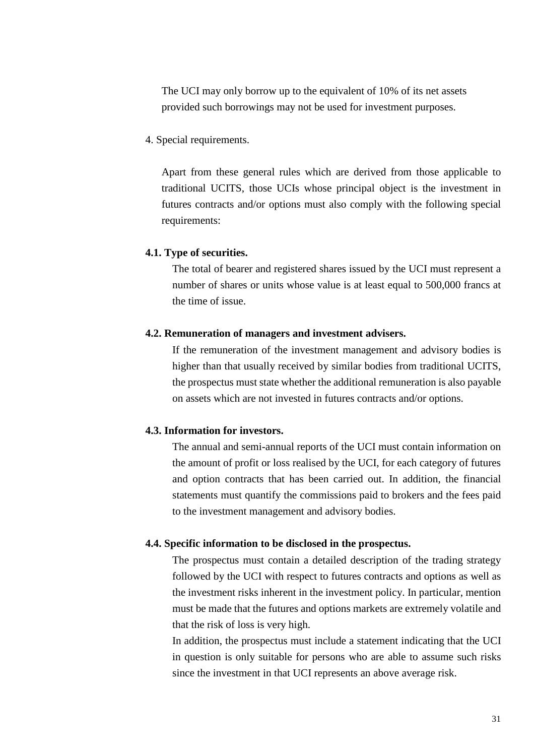The UCI may only borrow up to the equivalent of 10% of its net assets provided such borrowings may not be used for investment purposes.

4. Special requirements.

Apart from these general rules which are derived from those applicable to traditional UCITS, those UCIs whose principal object is the investment in futures contracts and/or options must also comply with the following special requirements:

#### **4.1. Type of securities.**

The total of bearer and registered shares issued by the UCI must represent a number of shares or units whose value is at least equal to 500,000 francs at the time of issue.

#### **4.2. Remuneration of managers and investment advisers.**

If the remuneration of the investment management and advisory bodies is higher than that usually received by similar bodies from traditional UCITS, the prospectus must state whether the additional remuneration is also payable on assets which are not invested in futures contracts and/or options.

## **4.3. Information for investors.**

The annual and semi-annual reports of the UCI must contain information on the amount of profit or loss realised by the UCI, for each category of futures and option contracts that has been carried out. In addition, the financial statements must quantify the commissions paid to brokers and the fees paid to the investment management and advisory bodies.

#### **4.4. Specific information to be disclosed in the prospectus.**

The prospectus must contain a detailed description of the trading strategy followed by the UCI with respect to futures contracts and options as well as the investment risks inherent in the investment policy. In particular, mention must be made that the futures and options markets are extremely volatile and that the risk of loss is very high.

In addition, the prospectus must include a statement indicating that the UCI in question is only suitable for persons who are able to assume such risks since the investment in that UCI represents an above average risk.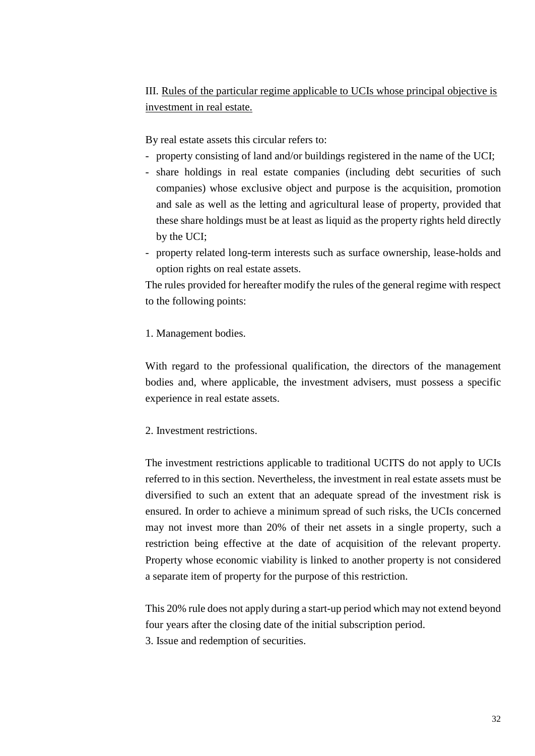# <span id="page-31-0"></span>III. Rules of the particular regime applicable to UCIs whose principal objective is investment in real estate.

By real estate assets this circular refers to:

- property consisting of land and/or buildings registered in the name of the UCI;
- share holdings in real estate companies (including debt securities of such companies) whose exclusive object and purpose is the acquisition, promotion and sale as well as the letting and agricultural lease of property, provided that these share holdings must be at least as liquid as the property rights held directly by the UCI;
- property related long-term interests such as surface ownership, lease-holds and option rights on real estate assets.

The rules provided for hereafter modify the rules of the general regime with respect to the following points:

## 1. Management bodies.

With regard to the professional qualification, the directors of the management bodies and, where applicable, the investment advisers, must possess a specific experience in real estate assets.

## 2. Investment restrictions.

The investment restrictions applicable to traditional UCITS do not apply to UCIs referred to in this section. Nevertheless, the investment in real estate assets must be diversified to such an extent that an adequate spread of the investment risk is ensured. In order to achieve a minimum spread of such risks, the UCIs concerned may not invest more than 20% of their net assets in a single property, such a restriction being effective at the date of acquisition of the relevant property. Property whose economic viability is linked to another property is not considered a separate item of property for the purpose of this restriction.

This 20% rule does not apply during a start-up period which may not extend beyond four years after the closing date of the initial subscription period. 3. Issue and redemption of securities.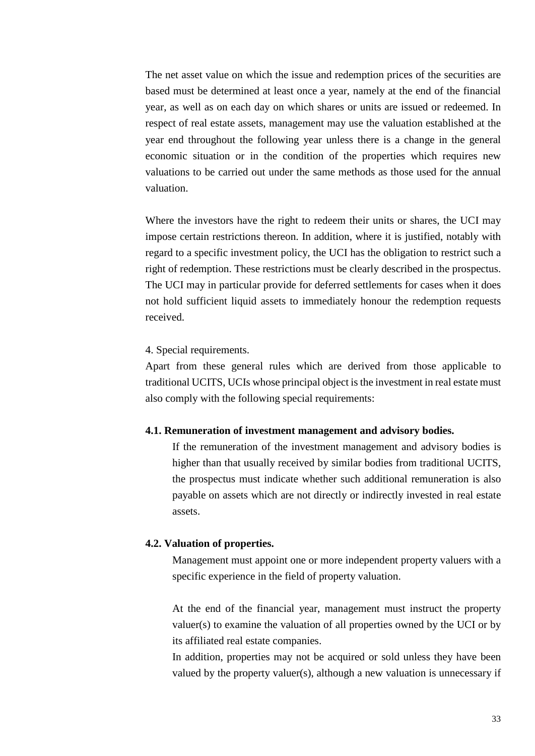The net asset value on which the issue and redemption prices of the securities are based must be determined at least once a year, namely at the end of the financial year, as well as on each day on which shares or units are issued or redeemed. In respect of real estate assets, management may use the valuation established at the year end throughout the following year unless there is a change in the general economic situation or in the condition of the properties which requires new valuations to be carried out under the same methods as those used for the annual valuation.

Where the investors have the right to redeem their units or shares, the UCI may impose certain restrictions thereon. In addition, where it is justified, notably with regard to a specific investment policy, the UCI has the obligation to restrict such a right of redemption. These restrictions must be clearly described in the prospectus. The UCI may in particular provide for deferred settlements for cases when it does not hold sufficient liquid assets to immediately honour the redemption requests received.

#### 4. Special requirements.

Apart from these general rules which are derived from those applicable to traditional UCITS, UCIs whose principal object is the investment in real estate must also comply with the following special requirements:

#### **4.1. Remuneration of investment management and advisory bodies.**

If the remuneration of the investment management and advisory bodies is higher than that usually received by similar bodies from traditional UCITS, the prospectus must indicate whether such additional remuneration is also payable on assets which are not directly or indirectly invested in real estate assets.

#### **4.2. Valuation of properties.**

Management must appoint one or more independent property valuers with a specific experience in the field of property valuation.

At the end of the financial year, management must instruct the property valuer(s) to examine the valuation of all properties owned by the UCI or by its affiliated real estate companies.

In addition, properties may not be acquired or sold unless they have been valued by the property valuer(s), although a new valuation is unnecessary if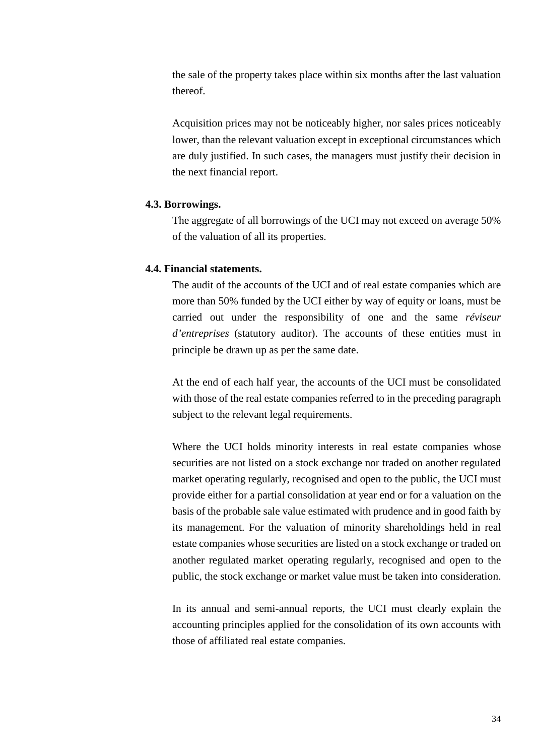the sale of the property takes place within six months after the last valuation thereof.

Acquisition prices may not be noticeably higher, nor sales prices noticeably lower, than the relevant valuation except in exceptional circumstances which are duly justified. In such cases, the managers must justify their decision in the next financial report.

#### **4.3. Borrowings.**

The aggregate of all borrowings of the UCI may not exceed on average 50% of the valuation of all its properties.

#### **4.4. Financial statements.**

The audit of the accounts of the UCI and of real estate companies which are more than 50% funded by the UCI either by way of equity or loans, must be carried out under the responsibility of one and the same *réviseur d'entreprises* (statutory auditor). The accounts of these entities must in principle be drawn up as per the same date.

At the end of each half year, the accounts of the UCI must be consolidated with those of the real estate companies referred to in the preceding paragraph subject to the relevant legal requirements.

Where the UCI holds minority interests in real estate companies whose securities are not listed on a stock exchange nor traded on another regulated market operating regularly, recognised and open to the public, the UCI must provide either for a partial consolidation at year end or for a valuation on the basis of the probable sale value estimated with prudence and in good faith by its management. For the valuation of minority shareholdings held in real estate companies whose securities are listed on a stock exchange or traded on another regulated market operating regularly, recognised and open to the public, the stock exchange or market value must be taken into consideration.

In its annual and semi-annual reports, the UCI must clearly explain the accounting principles applied for the consolidation of its own accounts with those of affiliated real estate companies.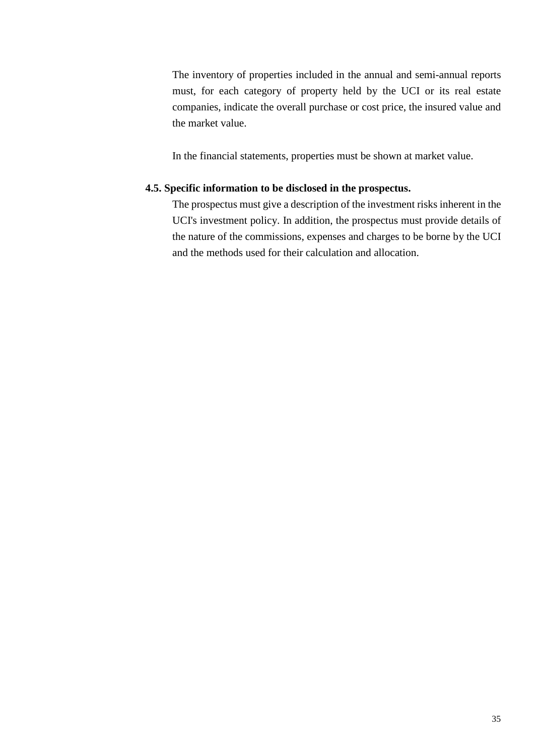The inventory of properties included in the annual and semi-annual reports must, for each category of property held by the UCI or its real estate companies, indicate the overall purchase or cost price, the insured value and the market value.

In the financial statements, properties must be shown at market value.

## **4.5. Specific information to be disclosed in the prospectus.**

The prospectus must give a description of the investment risks inherent in the UCI's investment policy. In addition, the prospectus must provide details of the nature of the commissions, expenses and charges to be borne by the UCI and the methods used for their calculation and allocation.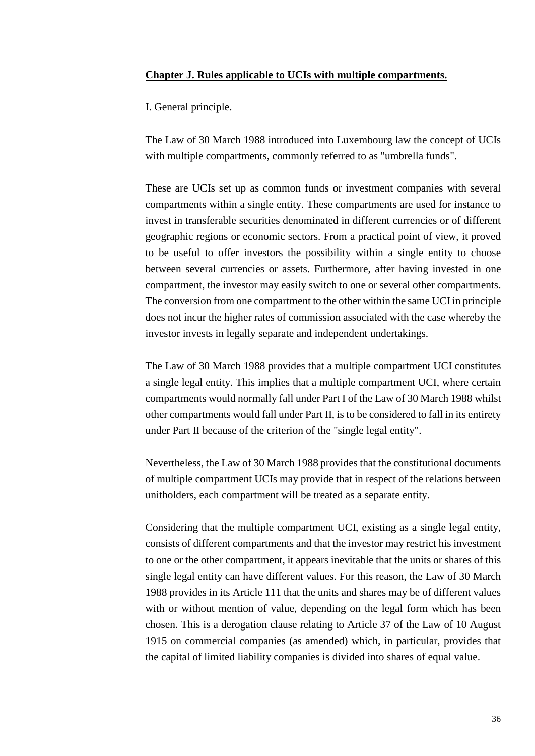#### <span id="page-35-0"></span>**Chapter J. Rules applicable to UCIs with multiple compartments.**

<span id="page-35-1"></span>I. General principle.

The Law of 30 March 1988 introduced into Luxembourg law the concept of UCIs with multiple compartments, commonly referred to as "umbrella funds".

These are UCIs set up as common funds or investment companies with several compartments within a single entity. These compartments are used for instance to invest in transferable securities denominated in different currencies or of different geographic regions or economic sectors. From a practical point of view, it proved to be useful to offer investors the possibility within a single entity to choose between several currencies or assets. Furthermore, after having invested in one compartment, the investor may easily switch to one or several other compartments. The conversion from one compartment to the other within the same UCI in principle does not incur the higher rates of commission associated with the case whereby the investor invests in legally separate and independent undertakings.

The Law of 30 March 1988 provides that a multiple compartment UCI constitutes a single legal entity. This implies that a multiple compartment UCI, where certain compartments would normally fall under Part I of the Law of 30 March 1988 whilst other compartments would fall under Part II, is to be considered to fall in its entirety under Part II because of the criterion of the "single legal entity".

Nevertheless, the Law of 30 March 1988 provides that the constitutional documents of multiple compartment UCIs may provide that in respect of the relations between unitholders, each compartment will be treated as a separate entity.

Considering that the multiple compartment UCI, existing as a single legal entity, consists of different compartments and that the investor may restrict his investment to one or the other compartment, it appears inevitable that the units or shares of this single legal entity can have different values. For this reason, the Law of 30 March 1988 provides in its Article 111 that the units and shares may be of different values with or without mention of value, depending on the legal form which has been chosen. This is a derogation clause relating to Article 37 of the Law of 10 August 1915 on commercial companies (as amended) which, in particular, provides that the capital of limited liability companies is divided into shares of equal value.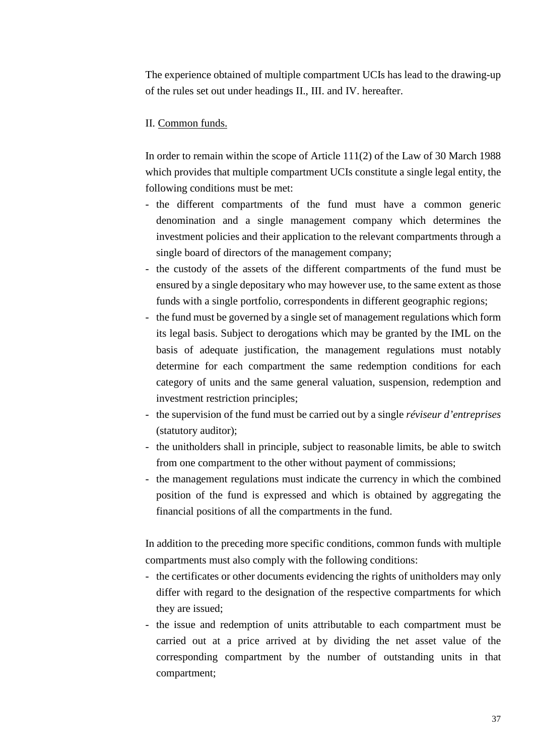The experience obtained of multiple compartment UCIs has lead to the drawing-up of the rules set out under headings II., III. and IV. hereafter.

## <span id="page-36-0"></span>II. Common funds.

In order to remain within the scope of Article 111(2) of the Law of 30 March 1988 which provides that multiple compartment UCIs constitute a single legal entity, the following conditions must be met:

- the different compartments of the fund must have a common generic denomination and a single management company which determines the investment policies and their application to the relevant compartments through a single board of directors of the management company;
- the custody of the assets of the different compartments of the fund must be ensured by a single depositary who may however use, to the same extent as those funds with a single portfolio, correspondents in different geographic regions;
- the fund must be governed by a single set of management regulations which form its legal basis. Subject to derogations which may be granted by the IML on the basis of adequate justification, the management regulations must notably determine for each compartment the same redemption conditions for each category of units and the same general valuation, suspension, redemption and investment restriction principles;
- the supervision of the fund must be carried out by a single *réviseur d'entreprises* (statutory auditor);
- the unitholders shall in principle, subject to reasonable limits, be able to switch from one compartment to the other without payment of commissions;
- the management regulations must indicate the currency in which the combined position of the fund is expressed and which is obtained by aggregating the financial positions of all the compartments in the fund.

In addition to the preceding more specific conditions, common funds with multiple compartments must also comply with the following conditions:

- the certificates or other documents evidencing the rights of unitholders may only differ with regard to the designation of the respective compartments for which they are issued;
- the issue and redemption of units attributable to each compartment must be carried out at a price arrived at by dividing the net asset value of the corresponding compartment by the number of outstanding units in that compartment;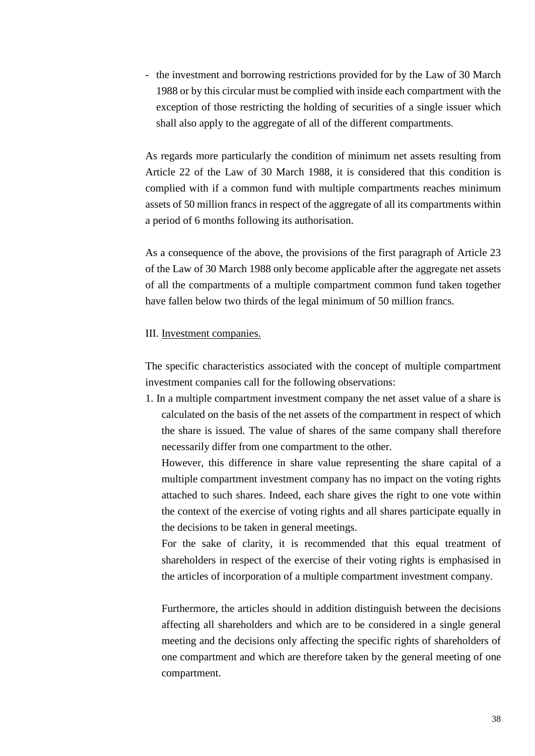- the investment and borrowing restrictions provided for by the Law of 30 March 1988 or by this circular must be complied with inside each compartment with the exception of those restricting the holding of securities of a single issuer which shall also apply to the aggregate of all of the different compartments.

As regards more particularly the condition of minimum net assets resulting from Article 22 of the Law of 30 March 1988, it is considered that this condition is complied with if a common fund with multiple compartments reaches minimum assets of 50 million francs in respect of the aggregate of all its compartments within a period of 6 months following its authorisation.

As a consequence of the above, the provisions of the first paragraph of Article 23 of the Law of 30 March 1988 only become applicable after the aggregate net assets of all the compartments of a multiple compartment common fund taken together have fallen below two thirds of the legal minimum of 50 million francs.

#### <span id="page-37-0"></span>III. Investment companies.

The specific characteristics associated with the concept of multiple compartment investment companies call for the following observations:

1. In a multiple compartment investment company the net asset value of a share is calculated on the basis of the net assets of the compartment in respect of which the share is issued. The value of shares of the same company shall therefore necessarily differ from one compartment to the other.

However, this difference in share value representing the share capital of a multiple compartment investment company has no impact on the voting rights attached to such shares. Indeed, each share gives the right to one vote within the context of the exercise of voting rights and all shares participate equally in the decisions to be taken in general meetings.

For the sake of clarity, it is recommended that this equal treatment of shareholders in respect of the exercise of their voting rights is emphasised in the articles of incorporation of a multiple compartment investment company.

Furthermore, the articles should in addition distinguish between the decisions affecting all shareholders and which are to be considered in a single general meeting and the decisions only affecting the specific rights of shareholders of one compartment and which are therefore taken by the general meeting of one compartment.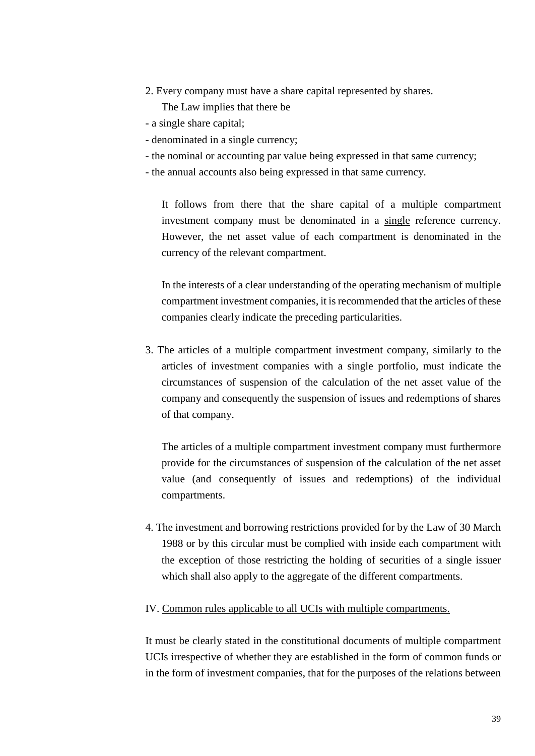2. Every company must have a share capital represented by shares.

The Law implies that there be

- a single share capital;
- denominated in a single currency;
- the nominal or accounting par value being expressed in that same currency;
- the annual accounts also being expressed in that same currency.

It follows from there that the share capital of a multiple compartment investment company must be denominated in a single reference currency. However, the net asset value of each compartment is denominated in the currency of the relevant compartment.

In the interests of a clear understanding of the operating mechanism of multiple compartment investment companies, it is recommended that the articles of these companies clearly indicate the preceding particularities.

3. The articles of a multiple compartment investment company, similarly to the articles of investment companies with a single portfolio, must indicate the circumstances of suspension of the calculation of the net asset value of the company and consequently the suspension of issues and redemptions of shares of that company.

The articles of a multiple compartment investment company must furthermore provide for the circumstances of suspension of the calculation of the net asset value (and consequently of issues and redemptions) of the individual compartments.

4. The investment and borrowing restrictions provided for by the Law of 30 March 1988 or by this circular must be complied with inside each compartment with the exception of those restricting the holding of securities of a single issuer which shall also apply to the aggregate of the different compartments.

#### <span id="page-38-0"></span>IV. Common rules applicable to all UCIs with multiple compartments.

It must be clearly stated in the constitutional documents of multiple compartment UCIs irrespective of whether they are established in the form of common funds or in the form of investment companies, that for the purposes of the relations between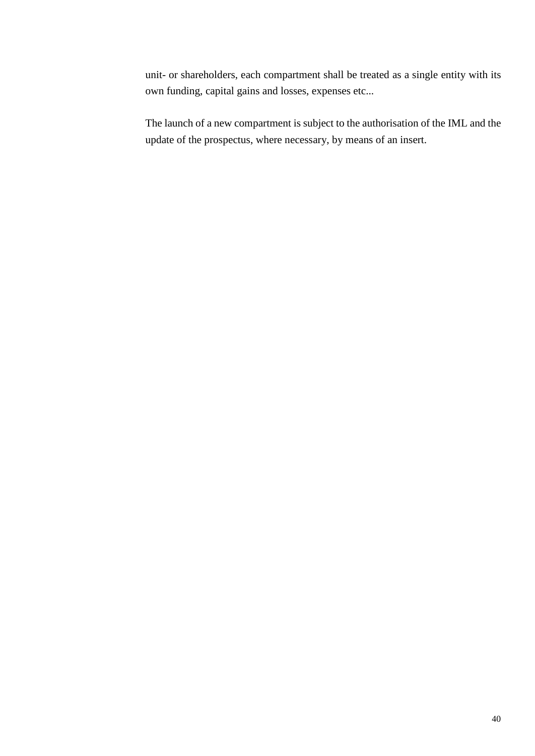unit- or shareholders, each compartment shall be treated as a single entity with its own funding, capital gains and losses, expenses etc...

The launch of a new compartment is subject to the authorisation of the IML and the update of the prospectus, where necessary, by means of an insert.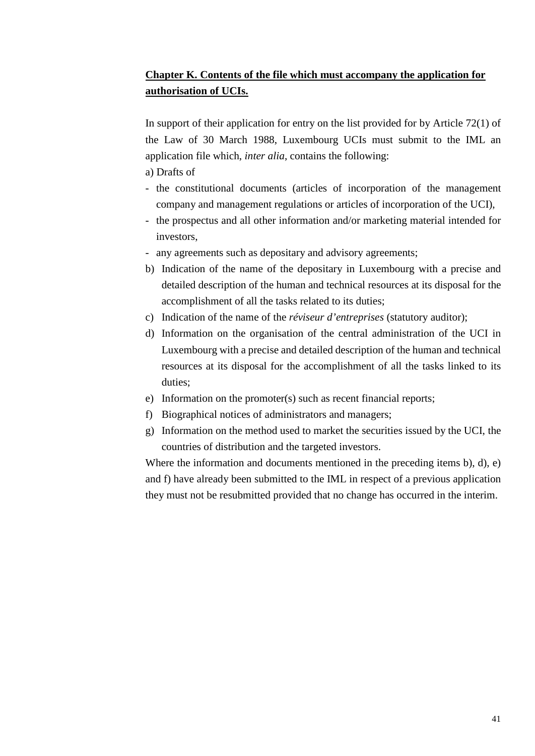# <span id="page-40-0"></span>**Chapter K. Contents of the file which must accompany the application for authorisation of UCIs.**

In support of their application for entry on the list provided for by Article 72(1) of the Law of 30 March 1988, Luxembourg UCIs must submit to the IML an application file which, *inter alia*, contains the following:

- a) Drafts of
- the constitutional documents (articles of incorporation of the management company and management regulations or articles of incorporation of the UCI),
- the prospectus and all other information and/or marketing material intended for investors,
- any agreements such as depositary and advisory agreements;
- b) Indication of the name of the depositary in Luxembourg with a precise and detailed description of the human and technical resources at its disposal for the accomplishment of all the tasks related to its duties;
- c) Indication of the name of the *réviseur d'entreprises* (statutory auditor);
- d) Information on the organisation of the central administration of the UCI in Luxembourg with a precise and detailed description of the human and technical resources at its disposal for the accomplishment of all the tasks linked to its duties;
- e) Information on the promoter(s) such as recent financial reports;
- f) Biographical notices of administrators and managers;
- g) Information on the method used to market the securities issued by the UCI, the countries of distribution and the targeted investors.

Where the information and documents mentioned in the preceding items b), d), e) and f) have already been submitted to the IML in respect of a previous application they must not be resubmitted provided that no change has occurred in the interim.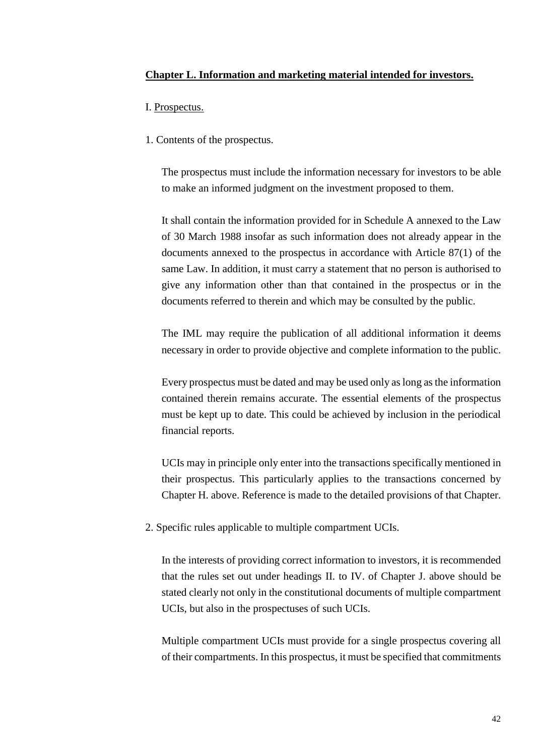## <span id="page-41-0"></span>**Chapter L. Information and marketing material intended for investors.**

- <span id="page-41-1"></span>I. Prospectus.
- 1. Contents of the prospectus.

The prospectus must include the information necessary for investors to be able to make an informed judgment on the investment proposed to them.

It shall contain the information provided for in Schedule A annexed to the Law of 30 March 1988 insofar as such information does not already appear in the documents annexed to the prospectus in accordance with Article 87(1) of the same Law. In addition, it must carry a statement that no person is authorised to give any information other than that contained in the prospectus or in the documents referred to therein and which may be consulted by the public.

The IML may require the publication of all additional information it deems necessary in order to provide objective and complete information to the public.

Every prospectus must be dated and may be used only as long as the information contained therein remains accurate. The essential elements of the prospectus must be kept up to date. This could be achieved by inclusion in the periodical financial reports.

UCIs may in principle only enter into the transactions specifically mentioned in their prospectus. This particularly applies to the transactions concerned by Chapter H. above. Reference is made to the detailed provisions of that Chapter.

2. Specific rules applicable to multiple compartment UCIs.

In the interests of providing correct information to investors, it is recommended that the rules set out under headings II. to IV. of Chapter J. above should be stated clearly not only in the constitutional documents of multiple compartment UCIs, but also in the prospectuses of such UCIs.

Multiple compartment UCIs must provide for a single prospectus covering all of their compartments. In this prospectus, it must be specified that commitments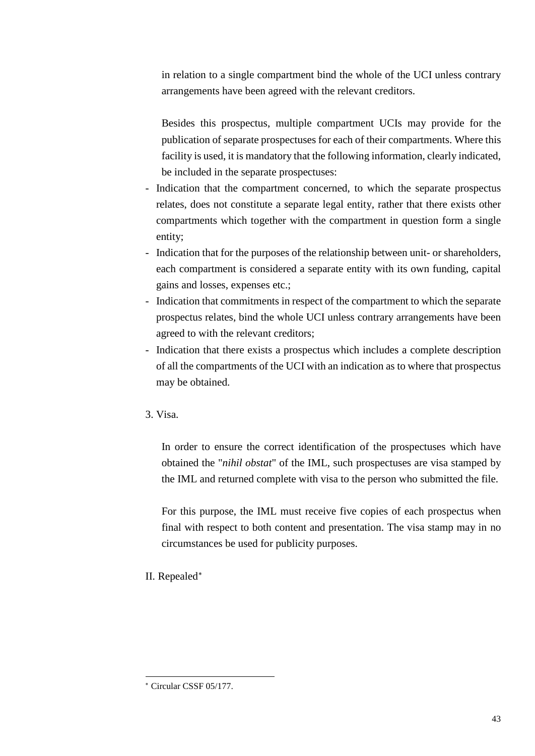in relation to a single compartment bind the whole of the UCI unless contrary arrangements have been agreed with the relevant creditors.

Besides this prospectus, multiple compartment UCIs may provide for the publication of separate prospectuses for each of their compartments. Where this facility is used, it is mandatory that the following information, clearly indicated, be included in the separate prospectuses:

- Indication that the compartment concerned, to which the separate prospectus relates, does not constitute a separate legal entity, rather that there exists other compartments which together with the compartment in question form a single entity;
- Indication that for the purposes of the relationship between unit- or shareholders, each compartment is considered a separate entity with its own funding, capital gains and losses, expenses etc.;
- Indication that commitments in respect of the compartment to which the separate prospectus relates, bind the whole UCI unless contrary arrangements have been agreed to with the relevant creditors;
- Indication that there exists a prospectus which includes a complete description of all the compartments of the UCI with an indication as to where that prospectus may be obtained.
- 3. Visa.

In order to ensure the correct identification of the prospectuses which have obtained the "*nihil obstat*" of the IML, such prospectuses are visa stamped by the IML and returned complete with visa to the person who submitted the file.

For this purpose, the IML must receive five copies of each prospectus when final with respect to both content and presentation. The visa stamp may in no circumstances be used for publicity purposes.

# <span id="page-42-0"></span>II. Repealed[∗](#page-42-1)

-

<span id="page-42-1"></span><sup>∗</sup> Circular CSSF 05/177.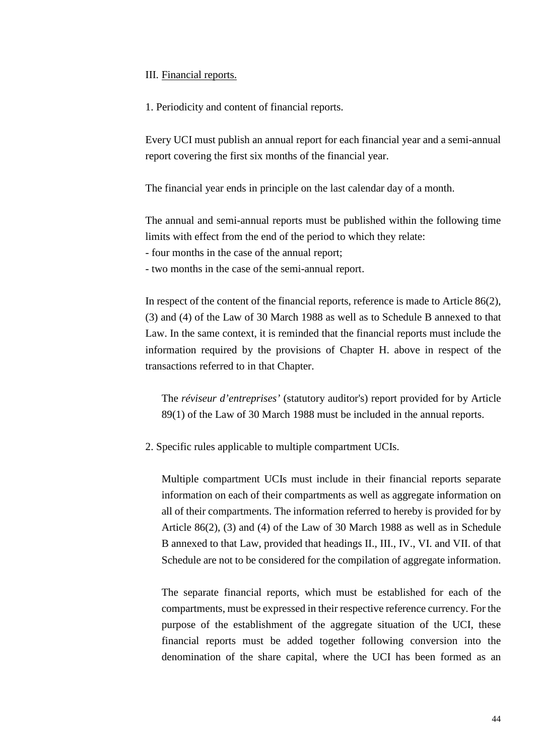<span id="page-43-0"></span>III. Financial reports.

1. Periodicity and content of financial reports.

Every UCI must publish an annual report for each financial year and a semi-annual report covering the first six months of the financial year.

The financial year ends in principle on the last calendar day of a month.

The annual and semi-annual reports must be published within the following time limits with effect from the end of the period to which they relate:

- four months in the case of the annual report;

- two months in the case of the semi-annual report.

In respect of the content of the financial reports, reference is made to Article 86(2), (3) and (4) of the Law of 30 March 1988 as well as to Schedule B annexed to that Law. In the same context, it is reminded that the financial reports must include the information required by the provisions of Chapter H. above in respect of the transactions referred to in that Chapter.

The *réviseur d'entreprises'* (statutory auditor's) report provided for by Article 89(1) of the Law of 30 March 1988 must be included in the annual reports.

2. Specific rules applicable to multiple compartment UCIs.

Multiple compartment UCIs must include in their financial reports separate information on each of their compartments as well as aggregate information on all of their compartments. The information referred to hereby is provided for by Article 86(2), (3) and (4) of the Law of 30 March 1988 as well as in Schedule B annexed to that Law, provided that headings II., III., IV., VI. and VII. of that Schedule are not to be considered for the compilation of aggregate information.

The separate financial reports, which must be established for each of the compartments, must be expressed in their respective reference currency. For the purpose of the establishment of the aggregate situation of the UCI, these financial reports must be added together following conversion into the denomination of the share capital, where the UCI has been formed as an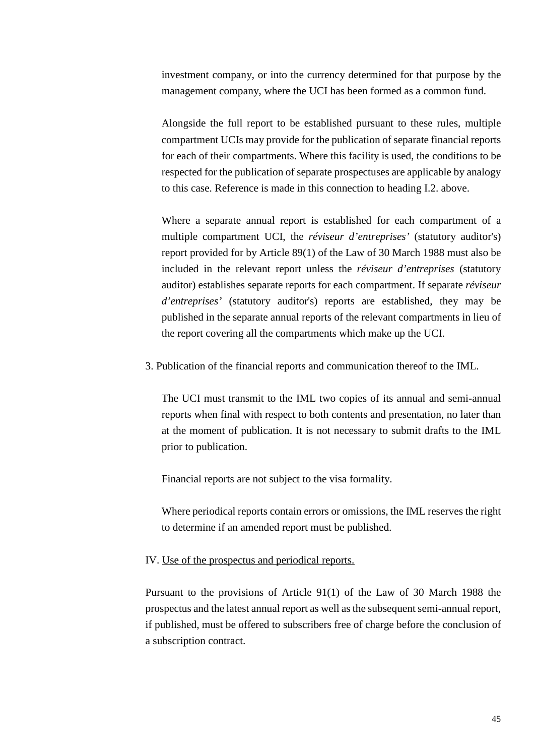investment company, or into the currency determined for that purpose by the management company, where the UCI has been formed as a common fund.

Alongside the full report to be established pursuant to these rules, multiple compartment UCIs may provide for the publication of separate financial reports for each of their compartments. Where this facility is used, the conditions to be respected for the publication of separate prospectuses are applicable by analogy to this case. Reference is made in this connection to heading I.2. above.

Where a separate annual report is established for each compartment of a multiple compartment UCI, the *réviseur d'entreprises'* (statutory auditor's) report provided for by Article 89(1) of the Law of 30 March 1988 must also be included in the relevant report unless the *réviseur d'entreprises* (statutory auditor) establishes separate reports for each compartment. If separate *réviseur d'entreprises'* (statutory auditor's) reports are established, they may be published in the separate annual reports of the relevant compartments in lieu of the report covering all the compartments which make up the UCI.

3. Publication of the financial reports and communication thereof to the IML.

The UCI must transmit to the IML two copies of its annual and semi-annual reports when final with respect to both contents and presentation, no later than at the moment of publication. It is not necessary to submit drafts to the IML prior to publication.

Financial reports are not subject to the visa formality.

Where periodical reports contain errors or omissions, the IML reserves the right to determine if an amended report must be published.

#### <span id="page-44-0"></span>IV. Use of the prospectus and periodical reports.

Pursuant to the provisions of Article 91(1) of the Law of 30 March 1988 the prospectus and the latest annual report as well as the subsequent semi-annual report, if published, must be offered to subscribers free of charge before the conclusion of a subscription contract.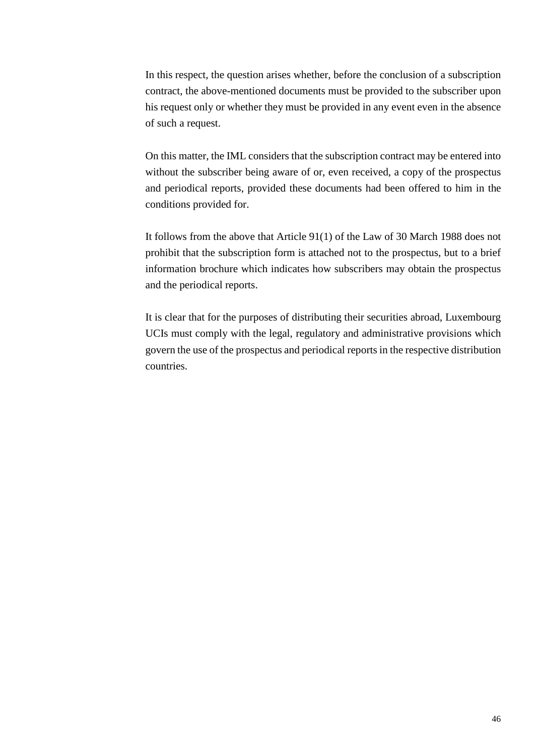In this respect, the question arises whether, before the conclusion of a subscription contract, the above-mentioned documents must be provided to the subscriber upon his request only or whether they must be provided in any event even in the absence of such a request.

On this matter, the IML considers that the subscription contract may be entered into without the subscriber being aware of or, even received, a copy of the prospectus and periodical reports, provided these documents had been offered to him in the conditions provided for.

It follows from the above that Article 91(1) of the Law of 30 March 1988 does not prohibit that the subscription form is attached not to the prospectus, but to a brief information brochure which indicates how subscribers may obtain the prospectus and the periodical reports.

It is clear that for the purposes of distributing their securities abroad, Luxembourg UCIs must comply with the legal, regulatory and administrative provisions which govern the use of the prospectus and periodical reports in the respective distribution countries.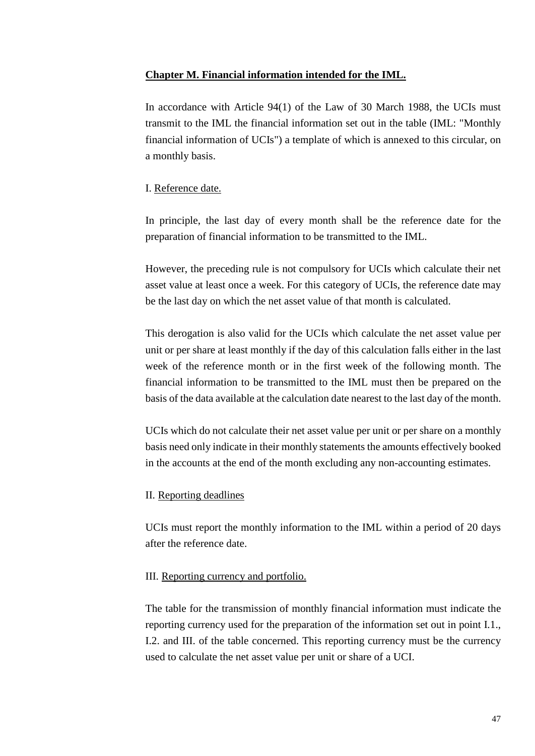## <span id="page-46-0"></span>**Chapter M. Financial information intended for the IML.**

In accordance with Article 94(1) of the Law of 30 March 1988, the UCIs must transmit to the IML the financial information set out in the table (IML: "Monthly financial information of UCIs") a template of which is annexed to this circular, on a monthly basis.

# <span id="page-46-1"></span>I. Reference date.

In principle, the last day of every month shall be the reference date for the preparation of financial information to be transmitted to the IML.

However, the preceding rule is not compulsory for UCIs which calculate their net asset value at least once a week. For this category of UCIs, the reference date may be the last day on which the net asset value of that month is calculated.

This derogation is also valid for the UCIs which calculate the net asset value per unit or per share at least monthly if the day of this calculation falls either in the last week of the reference month or in the first week of the following month. The financial information to be transmitted to the IML must then be prepared on the basis of the data available at the calculation date nearest to the last day of the month.

UCIs which do not calculate their net asset value per unit or per share on a monthly basis need only indicate in their monthly statements the amounts effectively booked in the accounts at the end of the month excluding any non-accounting estimates.

# <span id="page-46-2"></span>II. Reporting deadlines

UCIs must report the monthly information to the IML within a period of 20 days after the reference date.

## <span id="page-46-3"></span>III. Reporting currency and portfolio.

The table for the transmission of monthly financial information must indicate the reporting currency used for the preparation of the information set out in point I.1., I.2. and III. of the table concerned. This reporting currency must be the currency used to calculate the net asset value per unit or share of a UCI.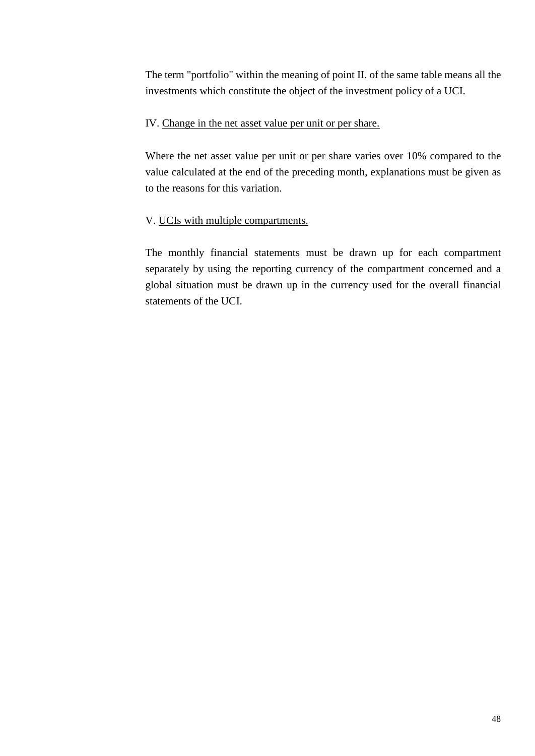The term "portfolio" within the meaning of point II. of the same table means all the investments which constitute the object of the investment policy of a UCI.

# <span id="page-47-0"></span>IV. Change in the net asset value per unit or per share.

Where the net asset value per unit or per share varies over 10% compared to the value calculated at the end of the preceding month, explanations must be given as to the reasons for this variation.

# <span id="page-47-1"></span>V. UCIs with multiple compartments.

The monthly financial statements must be drawn up for each compartment separately by using the reporting currency of the compartment concerned and a global situation must be drawn up in the currency used for the overall financial statements of the UCI.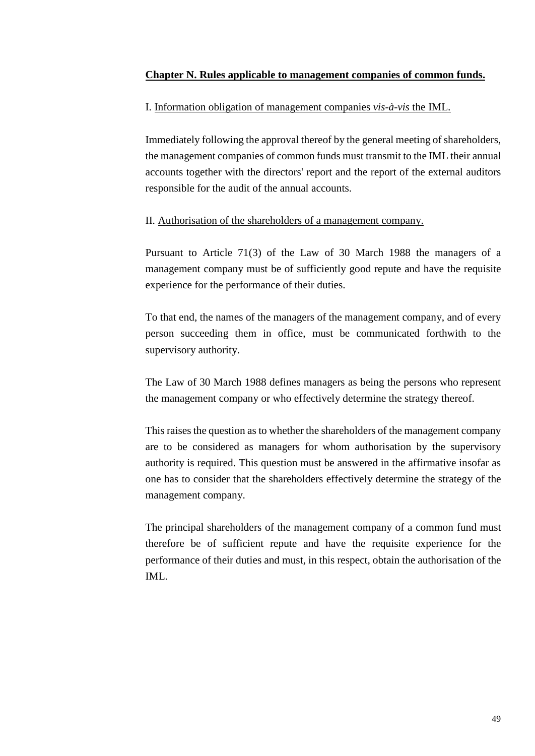## <span id="page-48-0"></span>**Chapter N. Rules applicable to management companies of common funds.**

# <span id="page-48-1"></span>I. Information obligation of management companies *vis-à-vis* the IML.

Immediately following the approval thereof by the general meeting of shareholders, the management companies of common funds must transmit to the IML their annual accounts together with the directors' report and the report of the external auditors responsible for the audit of the annual accounts.

## <span id="page-48-2"></span>II. Authorisation of the shareholders of a management company.

Pursuant to Article 71(3) of the Law of 30 March 1988 the managers of a management company must be of sufficiently good repute and have the requisite experience for the performance of their duties.

To that end, the names of the managers of the management company, and of every person succeeding them in office, must be communicated forthwith to the supervisory authority.

The Law of 30 March 1988 defines managers as being the persons who represent the management company or who effectively determine the strategy thereof.

This raises the question as to whether the shareholders of the management company are to be considered as managers for whom authorisation by the supervisory authority is required. This question must be answered in the affirmative insofar as one has to consider that the shareholders effectively determine the strategy of the management company.

The principal shareholders of the management company of a common fund must therefore be of sufficient repute and have the requisite experience for the performance of their duties and must, in this respect, obtain the authorisation of the IML.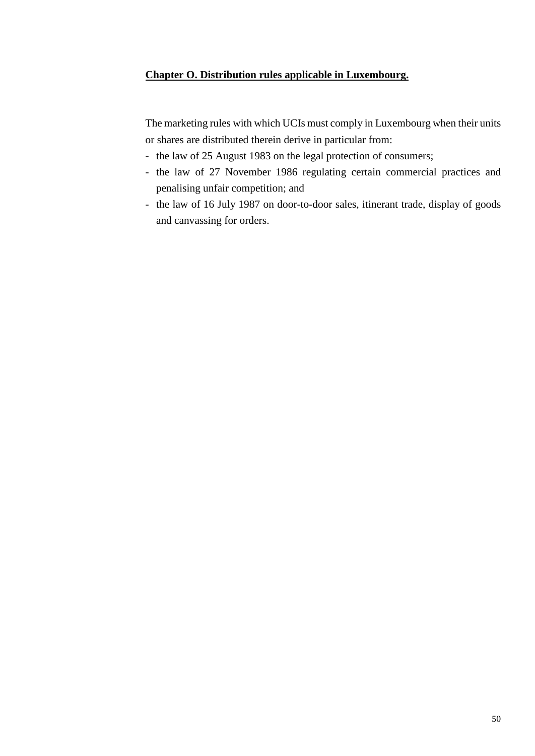# <span id="page-49-0"></span>**Chapter O. Distribution rules applicable in Luxembourg.**

The marketing rules with which UCIs must comply in Luxembourg when their units or shares are distributed therein derive in particular from:

- the law of 25 August 1983 on the legal protection of consumers;
- the law of 27 November 1986 regulating certain commercial practices and penalising unfair competition; and
- the law of 16 July 1987 on door-to-door sales, itinerant trade, display of goods and canvassing for orders.